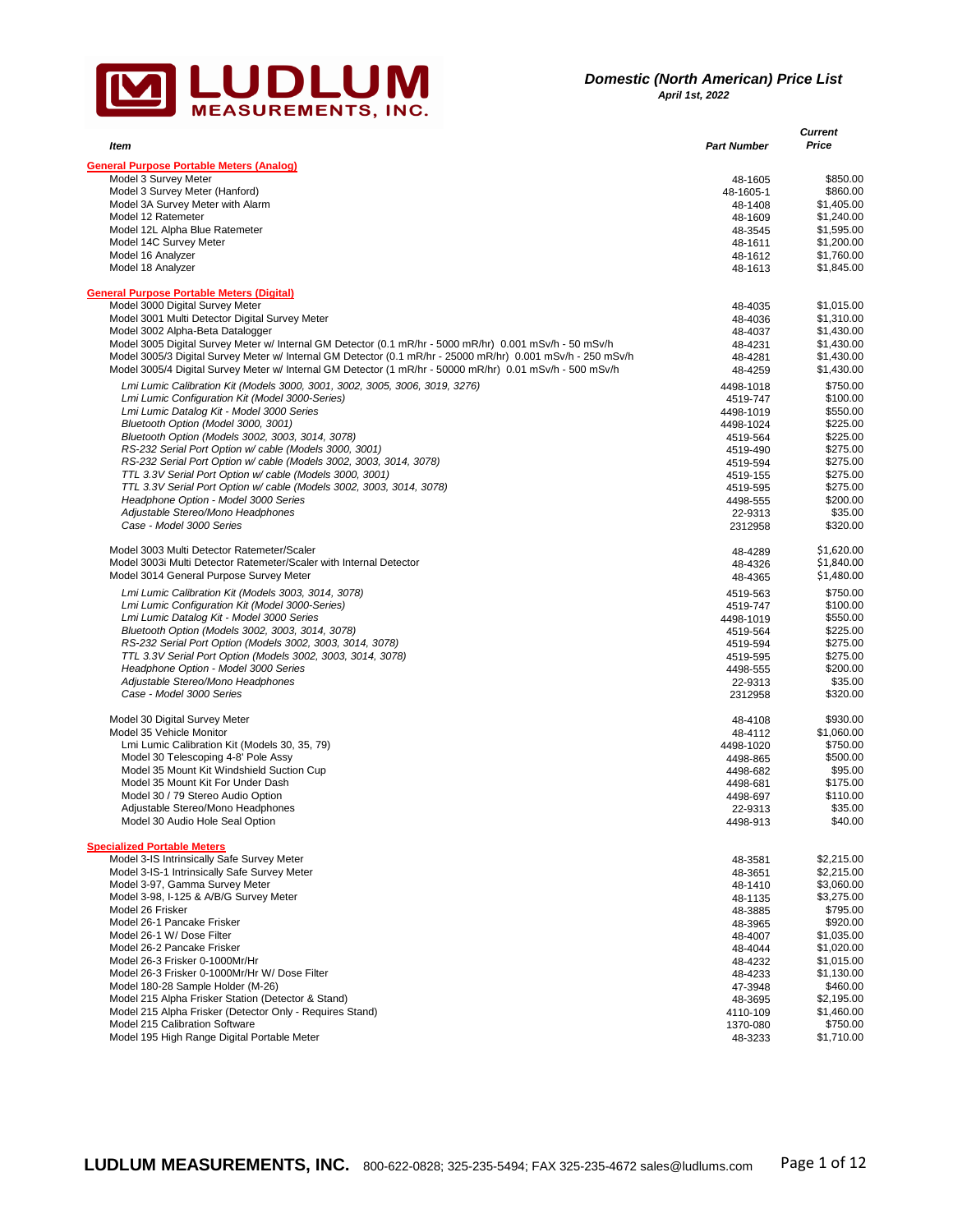

| ltem                                                                                                                                                                                                                    | <b>Part Number</b>   | <b>Current</b><br>Price  |
|-------------------------------------------------------------------------------------------------------------------------------------------------------------------------------------------------------------------------|----------------------|--------------------------|
|                                                                                                                                                                                                                         |                      |                          |
| <b>General Purpose Portable Meters (Analog)</b>                                                                                                                                                                         |                      |                          |
| Model 3 Survey Meter<br>Model 3 Survey Meter (Hanford)                                                                                                                                                                  | 48-1605<br>48-1605-1 | \$850.00<br>\$860.00     |
| Model 3A Survey Meter with Alarm                                                                                                                                                                                        | 48-1408              | \$1,405.00               |
| Model 12 Ratemeter                                                                                                                                                                                                      | 48-1609              | \$1,240.00               |
| Model 12L Alpha Blue Ratemeter                                                                                                                                                                                          | 48-3545              | \$1,595.00               |
| Model 14C Survey Meter                                                                                                                                                                                                  | 48-1611              | \$1,200.00               |
| Model 16 Analyzer                                                                                                                                                                                                       | 48-1612              | \$1,760.00               |
| Model 18 Analyzer                                                                                                                                                                                                       | 48-1613              | \$1,845.00               |
| <b>General Purpose Portable Meters (Digital)</b>                                                                                                                                                                        |                      |                          |
| Model 3000 Digital Survey Meter                                                                                                                                                                                         | 48-4035              | \$1,015.00               |
| Model 3001 Multi Detector Digital Survey Meter                                                                                                                                                                          | 48-4036              | \$1,310.00               |
| Model 3002 Alpha-Beta Datalogger                                                                                                                                                                                        | 48-4037              | \$1,430.00               |
| Model 3005 Digital Survey Meter w/ Internal GM Detector (0.1 mR/hr - 5000 mR/hr) 0.001 mSv/h - 50 mSv/h                                                                                                                 | 48-4231              | \$1,430.00               |
| Model 3005/3 Digital Survey Meter w/ Internal GM Detector (0.1 mR/hr - 25000 mR/hr) 0.001 mSv/h - 250 mSv/h<br>Model 3005/4 Digital Survey Meter w/ Internal GM Detector (1 mR/hr - 50000 mR/hr) 0.01 mSv/h - 500 mSv/h | 48-4281<br>48-4259   | \$1,430.00<br>\$1,430.00 |
| Lmi Lumic Calibration Kit (Models 3000, 3001, 3002, 3005, 3006, 3019, 3276)                                                                                                                                             | 4498-1018            | \$750.00                 |
| Lmi Lumic Configuration Kit (Model 3000-Series)                                                                                                                                                                         | 4519-747             | \$100.00                 |
| Lmi Lumic Datalog Kit - Model 3000 Series                                                                                                                                                                               | 4498-1019            | \$550.00                 |
| Bluetooth Option (Model 3000, 3001)                                                                                                                                                                                     | 4498-1024            | \$225.00                 |
| Bluetooth Option (Models 3002, 3003, 3014, 3078)                                                                                                                                                                        | 4519-564             | \$225.00                 |
| RS-232 Serial Port Option w/ cable (Models 3000, 3001)                                                                                                                                                                  | 4519-490             | \$275.00                 |
| RS-232 Serial Port Option w/ cable (Models 3002, 3003, 3014, 3078)                                                                                                                                                      | 4519-594             | \$275.00                 |
| TTL 3.3V Serial Port Option w/ cable (Models 3000, 3001)                                                                                                                                                                | 4519-155             | \$275.00                 |
| TTL 3.3V Serial Port Option w/ cable (Models 3002, 3003, 3014, 3078)<br>Headphone Option - Model 3000 Series                                                                                                            | 4519-595             | \$275.00                 |
| Adjustable Stereo/Mono Headphones                                                                                                                                                                                       | 4498-555             | \$200.00<br>\$35.00      |
| Case - Model 3000 Series                                                                                                                                                                                                | 22-9313<br>2312958   | \$320.00                 |
| Model 3003 Multi Detector Ratemeter/Scaler                                                                                                                                                                              | 48-4289              | \$1,620.00               |
| Model 3003i Multi Detector Ratemeter/Scaler with Internal Detector                                                                                                                                                      | 48-4326              | \$1,840.00               |
| Model 3014 General Purpose Survey Meter                                                                                                                                                                                 | 48-4365              | \$1,480.00               |
| Lmi Lumic Calibration Kit (Models 3003, 3014, 3078)                                                                                                                                                                     | 4519-563             | \$750.00                 |
| Lmi Lumic Configuration Kit (Model 3000-Series)                                                                                                                                                                         | 4519-747             | \$100.00                 |
| Lmi Lumic Datalog Kit - Model 3000 Series                                                                                                                                                                               | 4498-1019            | \$550.00                 |
| Bluetooth Option (Models 3002, 3003, 3014, 3078)                                                                                                                                                                        | 4519-564             | \$225.00                 |
| RS-232 Serial Port Option (Models 3002, 3003, 3014, 3078)                                                                                                                                                               | 4519-594             | \$275.00                 |
| TTL 3.3V Serial Port Option (Models 3002, 3003, 3014, 3078)                                                                                                                                                             | 4519-595             | \$275.00                 |
| Headphone Option - Model 3000 Series                                                                                                                                                                                    | 4498-555             | \$200.00                 |
| Adjustable Stereo/Mono Headphones                                                                                                                                                                                       | 22-9313              | \$35.00                  |
| Case - Model 3000 Series                                                                                                                                                                                                | 2312958              | \$320.00                 |
| Model 30 Digital Survey Meter                                                                                                                                                                                           | 48-4108              | \$930.00                 |
| Model 35 Vehicle Monitor                                                                                                                                                                                                | 48-4112              | \$1,060.00               |
| Lmi Lumic Calibration Kit (Models 30, 35, 79)                                                                                                                                                                           | 4498-1020            | \$750.00                 |
| Model 30 Telescoping 4-8' Pole Assy                                                                                                                                                                                     | 4498-865             | \$500.00                 |
| Model 35 Mount Kit Windshield Suction Cup                                                                                                                                                                               | 4498-682             | \$95.00                  |
| Model 35 Mount Kit For Under Dash<br>Model 30 / 79 Stereo Audio Option                                                                                                                                                  | 4498-681             | \$175.00<br>\$110.00     |
| Adjustable Stereo/Mono Headphones                                                                                                                                                                                       | 4498-697<br>22-9313  | \$35.00                  |
| Model 30 Audio Hole Seal Option                                                                                                                                                                                         | 4498-913             | \$40.00                  |
| <b>Specialized Portable Meters</b>                                                                                                                                                                                      |                      |                          |
| Model 3-IS Intrinsically Safe Survey Meter                                                                                                                                                                              | 48-3581              | \$2,215.00               |
| Model 3-IS-1 Intrinsically Safe Survey Meter                                                                                                                                                                            | 48-3651              | \$2,215.00               |
| Model 3-97, Gamma Survey Meter                                                                                                                                                                                          | 48-1410              | \$3,060.00               |
| Model 3-98, I-125 & A/B/G Survey Meter                                                                                                                                                                                  | 48-1135              | \$3,275.00               |
| Model 26 Frisker                                                                                                                                                                                                        | 48-3885              | \$795.00                 |
| Model 26-1 Pancake Frisker                                                                                                                                                                                              | 48-3965              | \$920.00                 |
| Model 26-1 W/ Dose Filter                                                                                                                                                                                               | 48-4007              | \$1,035.00               |
| Model 26-2 Pancake Frisker                                                                                                                                                                                              | 48-4044              | \$1,020.00               |
| Model 26-3 Frisker 0-1000Mr/Hr                                                                                                                                                                                          | 48-4232              | \$1,015.00               |
| Model 26-3 Frisker 0-1000Mr/Hr W/ Dose Filter                                                                                                                                                                           | 48-4233              | \$1,130.00               |
| Model 180-28 Sample Holder (M-26)                                                                                                                                                                                       | 47-3948              | \$460.00                 |
| Model 215 Alpha Frisker Station (Detector & Stand)                                                                                                                                                                      | 48-3695              | \$2,195.00               |
| Model 215 Alpha Frisker (Detector Only - Requires Stand)                                                                                                                                                                | 4110-109             | \$1,460.00               |
| Model 215 Calibration Software                                                                                                                                                                                          | 1370-080             | \$750.00                 |
| Model 195 High Range Digital Portable Meter                                                                                                                                                                             | 48-3233              | \$1,710.00               |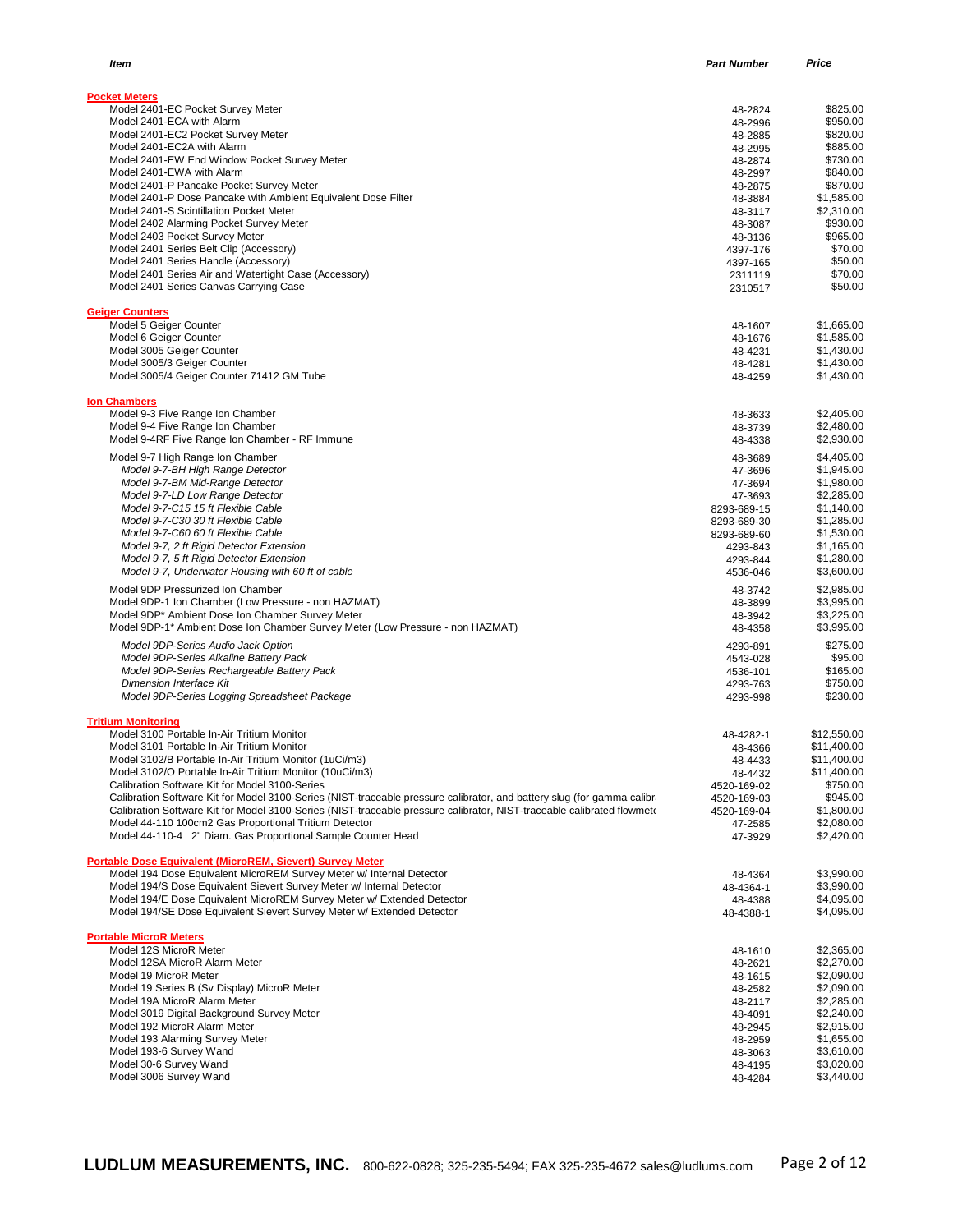| Item                                                                                                                   | <b>Part Number</b>      | Price                      |
|------------------------------------------------------------------------------------------------------------------------|-------------------------|----------------------------|
|                                                                                                                        |                         |                            |
| <b>Pocket Meters</b>                                                                                                   |                         |                            |
| Model 2401-EC Pocket Survey Meter                                                                                      | 48-2824                 | \$825.00                   |
| Model 2401-ECA with Alarm<br>Model 2401-EC2 Pocket Survey Meter                                                        | 48-2996<br>48-2885      | \$950.00<br>\$820.00       |
| Model 2401-EC2A with Alarm                                                                                             | 48-2995                 | \$885.00                   |
| Model 2401-EW End Window Pocket Survey Meter                                                                           | 48-2874                 | \$730.00                   |
| Model 2401-EWA with Alarm                                                                                              | 48-2997                 | \$840.00                   |
| Model 2401-P Pancake Pocket Survey Meter                                                                               | 48-2875                 | \$870.00                   |
| Model 2401-P Dose Pancake with Ambient Equivalent Dose Filter                                                          | 48-3884                 | \$1,585.00                 |
| Model 2401-S Scintillation Pocket Meter                                                                                | 48-3117                 | \$2,310.00                 |
| Model 2402 Alarming Pocket Survey Meter                                                                                | 48-3087                 | \$930.00                   |
| Model 2403 Pocket Survey Meter<br>Model 2401 Series Belt Clip (Accessory)                                              | 48-3136<br>4397-176     | \$965.00<br>\$70.00        |
| Model 2401 Series Handle (Accessory)                                                                                   | 4397-165                | \$50.00                    |
| Model 2401 Series Air and Watertight Case (Accessory)                                                                  | 2311119                 | \$70.00                    |
| Model 2401 Series Canvas Carrying Case                                                                                 | 2310517                 | \$50.00                    |
| <b>Geiger Counters</b>                                                                                                 |                         |                            |
| Model 5 Geiger Counter                                                                                                 | 48-1607                 | \$1,665.00                 |
| Model 6 Geiger Counter                                                                                                 | 48-1676                 | \$1,585.00                 |
| Model 3005 Geiger Counter                                                                                              | 48-4231                 | \$1,430.00                 |
| Model 3005/3 Geiger Counter<br>Model 3005/4 Geiger Counter 71412 GM Tube                                               | 48-4281                 | \$1,430.00                 |
|                                                                                                                        | 48-4259                 | \$1,430.00                 |
| <b>Ion Chambers</b><br>Model 9-3 Five Range Ion Chamber                                                                | 48-3633                 | \$2,405.00                 |
| Model 9-4 Five Range Ion Chamber                                                                                       | 48-3739                 | \$2,480.00                 |
| Model 9-4RF Five Range Ion Chamber - RF Immune                                                                         | 48-4338                 | \$2,930.00                 |
| Model 9-7 High Range Ion Chamber                                                                                       | 48-3689                 | \$4,405.00                 |
| Model 9-7-BH High Range Detector                                                                                       | 47-3696                 | \$1,945.00                 |
| Model 9-7-BM Mid-Range Detector                                                                                        | 47-3694                 | \$1,980.00                 |
| Model 9-7-LD Low Range Detector                                                                                        | 47-3693                 | \$2,285.00                 |
| Model 9-7-C15 15 ft Flexible Cable                                                                                     | 8293-689-15             | \$1,140.00                 |
| Model 9-7-C30 30 ft Flexible Cable<br>Model 9-7-C60 60 ft Flexible Cable                                               | 8293-689-30             | \$1,285.00                 |
| Model 9-7, 2 ft Rigid Detector Extension                                                                               | 8293-689-60<br>4293-843 | \$1,530.00<br>\$1,165.00   |
| Model 9-7, 5 ft Rigid Detector Extension                                                                               | 4293-844                | \$1,280.00                 |
| Model 9-7, Underwater Housing with 60 ft of cable                                                                      | 4536-046                | \$3,600.00                 |
| Model 9DP Pressurized Ion Chamber                                                                                      | 48-3742                 | \$2,985.00                 |
| Model 9DP-1 Ion Chamber (Low Pressure - non HAZMAT)                                                                    | 48-3899                 | \$3,995.00                 |
| Model 9DP* Ambient Dose Ion Chamber Survey Meter                                                                       | 48-3942                 | \$3,225.00                 |
| Model 9DP-1* Ambient Dose Ion Chamber Survey Meter (Low Pressure - non HAZMAT)                                         | 48-4358                 | \$3,995.00                 |
| Model 9DP-Series Audio Jack Option                                                                                     | 4293-891                | \$275.00                   |
| Model 9DP-Series Alkaline Battery Pack                                                                                 | 4543-028                | \$95.00                    |
| Model 9DP-Series Rechargeable Battery Pack                                                                             | 4536-101                | \$165.00                   |
| Dimension Interface Kit                                                                                                | 4293-763                | \$750.00                   |
| Model 9DP-Series Logging Spreadsheet Package                                                                           | 4293-998                | \$230.00                   |
| <b>Tritium Monitoring</b>                                                                                              |                         |                            |
| Model 3100 Portable In-Air Tritium Monitor                                                                             | 48-4282-1               | \$12,550.00                |
| Model 3101 Portable In-Air Tritium Monitor                                                                             | 48-4366                 | \$11,400.00                |
| Model 3102/B Portable In-Air Tritium Monitor (1uCi/m3)<br>Model 3102/O Portable In-Air Tritium Monitor (10uCi/m3)      | 48-4433                 | \$11,400.00<br>\$11,400.00 |
| Calibration Software Kit for Model 3100-Series                                                                         | 48-4432<br>4520-169-02  | \$750.00                   |
| Calibration Software Kit for Model 3100-Series (NIST-traceable pressure calibrator, and battery slug (for gamma calibr | 4520-169-03             | \$945.00                   |
| Calibration Software Kit for Model 3100-Series (NIST-traceable pressure calibrator, NIST-traceable calibrated flowmetr | 4520-169-04             | \$1,800.00                 |
| Model 44-110 100cm2 Gas Proportional Tritium Detector                                                                  | 47-2585                 | \$2,080.00                 |
| Model 44-110-4 2" Diam. Gas Proportional Sample Counter Head                                                           | 47-3929                 | \$2,420.00                 |
| Portable Dose Equivalent (MicroREM, Sievert) Survey Meter                                                              |                         |                            |
| Model 194 Dose Equivalent MicroREM Survey Meter w/ Internal Detector                                                   | 48-4364                 | \$3,990.00                 |
| Model 194/S Dose Equivalent Sievert Survey Meter w/ Internal Detector                                                  | 48-4364-1               | \$3,990.00                 |
| Model 194/E Dose Equivalent MicroREM Survey Meter w/ Extended Detector                                                 | 48-4388                 | \$4,095.00                 |
| Model 194/SE Dose Equivalent Sievert Survey Meter w/ Extended Detector                                                 | 48-4388-1               | \$4,095.00                 |
| <b>Portable MicroR Meters</b>                                                                                          |                         |                            |
| Model 12S MicroR Meter<br>Model 12SA MicroR Alarm Meter                                                                | 48-1610                 | \$2,365.00<br>\$2,270.00   |
| Model 19 MicroR Meter                                                                                                  | 48-2621<br>48-1615      | \$2,090.00                 |
| Model 19 Series B (Sv Display) MicroR Meter                                                                            | 48-2582                 | \$2,090.00                 |
| Model 19A MicroR Alarm Meter                                                                                           | 48-2117                 | \$2,285.00                 |
| Model 3019 Digital Background Survey Meter                                                                             | 48-4091                 | \$2,240.00                 |
| Model 192 MicroR Alarm Meter                                                                                           | 48-2945                 | \$2,915.00                 |
| Model 193 Alarming Survey Meter                                                                                        | 48-2959                 | \$1,655.00                 |
| Model 193-6 Survey Wand                                                                                                | 48-3063                 | \$3,610.00                 |
| Model 30-6 Survey Wand                                                                                                 | 48-4195                 | \$3,020.00                 |
| Model 3006 Survey Wand                                                                                                 | 48-4284                 | \$3,440.00                 |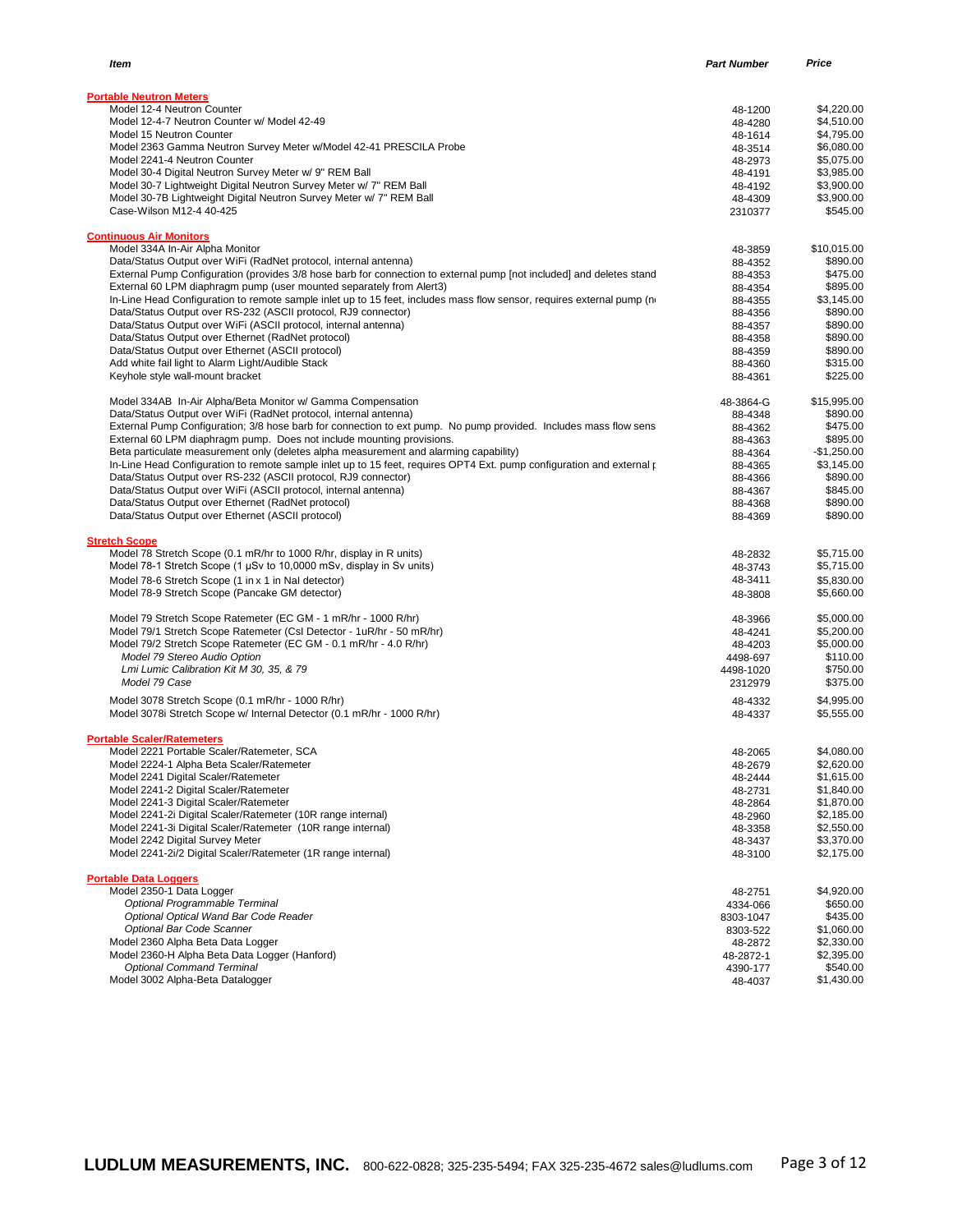| ltem                                                                                                                   | <b>Part Number</b> | Price        |
|------------------------------------------------------------------------------------------------------------------------|--------------------|--------------|
| <b>Portable Neutron Meters</b>                                                                                         |                    |              |
| Model 12-4 Neutron Counter                                                                                             | 48-1200            | \$4.220.00   |
| Model 12-4-7 Neutron Counter w/ Model 42-49                                                                            | 48-4280            | \$4,510.00   |
| Model 15 Neutron Counter                                                                                               | 48-1614            | \$4,795.00   |
| Model 2363 Gamma Neutron Survey Meter w/Model 42-41 PRESCILA Probe                                                     | 48-3514            | \$6,080.00   |
| Model 2241-4 Neutron Counter                                                                                           | 48-2973            | \$5,075.00   |
| Model 30-4 Digital Neutron Survey Meter w/ 9" REM Ball                                                                 | 48-4191            | \$3,985.00   |
| Model 30-7 Lightweight Digital Neutron Survey Meter w/ 7" REM Ball                                                     | 48-4192            | \$3,900.00   |
| Model 30-7B Lightweight Digital Neutron Survey Meter w/ 7" REM Ball                                                    | 48-4309            | \$3,900.00   |
| Case-Wilson M12-4 40-425                                                                                               | 2310377            | \$545.00     |
| <b>Continuous Air Monitors</b>                                                                                         |                    |              |
| Model 334A In-Air Alpha Monitor                                                                                        | 48-3859            | \$10,015.00  |
| Data/Status Output over WiFi (RadNet protocol, internal antenna)                                                       | 88-4352            | \$890.00     |
| External Pump Configuration (provides 3/8 hose barb for connection to external pump [not included] and deletes stand   | 88-4353            | \$475.00     |
| External 60 LPM diaphragm pump (user mounted separately from Alert3)                                                   | 88-4354            | \$895.00     |
| In-Line Head Configuration to remote sample inlet up to 15 feet, includes mass flow sensor, requires external pump (n) | 88-4355            | \$3,145.00   |
| Data/Status Output over RS-232 (ASCII protocol, RJ9 connector)                                                         | 88-4356            | \$890.00     |
| Data/Status Output over WiFi (ASCII protocol, internal antenna)                                                        | 88-4357            | \$890.00     |
| Data/Status Output over Ethernet (RadNet protocol)                                                                     | 88-4358            | \$890.00     |
| Data/Status Output over Ethernet (ASCII protocol)                                                                      | 88-4359            | \$890.00     |
| Add white fail light to Alarm Light/Audible Stack                                                                      | 88-4360            | \$315.00     |
| Keyhole style wall-mount bracket                                                                                       | 88-4361            | \$225.00     |
| Model 334AB In-Air Alpha/Beta Monitor w/ Gamma Compensation                                                            | 48-3864-G          | \$15,995.00  |
| Data/Status Output over WiFi (RadNet protocol, internal antenna)                                                       | 88-4348            | \$890.00     |
| External Pump Configuration; 3/8 hose barb for connection to ext pump. No pump provided. Includes mass flow sens       | 88-4362            | \$475.00     |
| External 60 LPM diaphragm pump. Does not include mounting provisions.                                                  | 88-4363            | \$895.00     |
| Beta particulate measurement only (deletes alpha measurement and alarming capability)                                  | 88-4364            | $-$1,250.00$ |
| In-Line Head Configuration to remote sample inlet up to 15 feet, requires OPT4 Ext. pump configuration and external p  | 88-4365            | \$3,145.00   |
| Data/Status Output over RS-232 (ASCII protocol, RJ9 connector)                                                         | 88-4366            | \$890.00     |
| Data/Status Output over WiFi (ASCII protocol, internal antenna)                                                        | 88-4367            | \$845.00     |
| Data/Status Output over Ethernet (RadNet protocol)                                                                     | 88-4368            | \$890.00     |
| Data/Status Output over Ethernet (ASCII protocol)                                                                      | 88-4369            | \$890.00     |
| <b>Stretch Scope</b>                                                                                                   |                    |              |
| Model 78 Stretch Scope (0.1 mR/hr to 1000 R/hr, display in R units)                                                    | 48-2832            | \$5,715.00   |
| Model 78-1 Stretch Scope (1 µSv to 10,0000 mSv, display in Sv units)                                                   | 48-3743            | \$5,715.00   |
| Model 78-6 Stretch Scope (1 in x 1 in Nal detector)                                                                    | 48-3411            | \$5,830.00   |
| Model 78-9 Stretch Scope (Pancake GM detector)                                                                         | 48-3808            | \$5,660.00   |
|                                                                                                                        |                    |              |
| Model 79 Stretch Scope Ratemeter (EC GM - 1 mR/hr - 1000 R/hr)                                                         | 48-3966            | \$5,000.00   |
| Model 79/1 Stretch Scope Ratemeter (CsI Detector - 1uR/hr - 50 mR/hr)                                                  | 48-4241            | \$5,200.00   |
| Model 79/2 Stretch Scope Ratemeter (EC GM - 0.1 mR/hr - 4.0 R/hr)                                                      | 48-4203            | \$5,000.00   |
| Model 79 Stereo Audio Option                                                                                           | 4498-697           | \$110.00     |
| Lmi Lumic Calibration Kit M 30, 35, & 79                                                                               | 4498-1020          | \$750.00     |
| Model 79 Case                                                                                                          | 2312979            | \$375.00     |
| Model 3078 Stretch Scope (0.1 mR/hr - 1000 R/hr)                                                                       | 48-4332            | \$4,995.00   |
| Model 3078i Stretch Scope w/ Internal Detector (0.1 mR/hr - 1000 R/hr)                                                 | 48-4337            | \$5,555.00   |
| <b>Portable Scaler/Ratemeters</b>                                                                                      |                    |              |
| Model 2221 Portable Scaler/Ratemeter, SCA                                                                              | 48-2065            | \$4.080.00   |
| Model 2224-1 Alpha Beta Scaler/Ratemeter                                                                               | 48-2679            | \$2,620.00   |
| Model 2241 Digital Scaler/Ratemeter                                                                                    | 48-2444            | \$1,615.00   |
| Model 2241-2 Digital Scaler/Ratemeter                                                                                  | 48-2731            | \$1,840.00   |
| Model 2241-3 Digital Scaler/Ratemeter                                                                                  | 48-2864            | \$1,870.00   |
| Model 2241-2i Digital Scaler/Ratemeter (10R range internal)                                                            | 48-2960            | \$2,185.00   |
| Model 2241-3i Digital Scaler/Ratemeter (10R range internal)                                                            | 48-3358            | \$2,550.00   |
| Model 2242 Digital Survey Meter                                                                                        | 48-3437            | \$3,370.00   |
| Model 2241-2i/2 Digital Scaler/Ratemeter (1R range internal)                                                           | 48-3100            | \$2,175.00   |
| <b>Portable Data Loggers</b>                                                                                           |                    |              |
| Model 2350-1 Data Logger                                                                                               | 48-2751            | \$4,920.00   |
| Optional Programmable Terminal                                                                                         | 4334-066           | \$650.00     |
| Optional Optical Wand Bar Code Reader                                                                                  | 8303-1047          | \$435.00     |
| Optional Bar Code Scanner                                                                                              | 8303-522           | \$1,060.00   |
| Model 2360 Alpha Beta Data Logger                                                                                      | 48-2872            | \$2,330.00   |
| Model 2360-H Alpha Beta Data Logger (Hanford)                                                                          | 48-2872-1          | \$2,395.00   |
| <b>Optional Command Terminal</b>                                                                                       | 4390-177           | \$540.00     |
| Model 3002 Alpha-Beta Datalogger                                                                                       | 48-4037            | \$1,430.00   |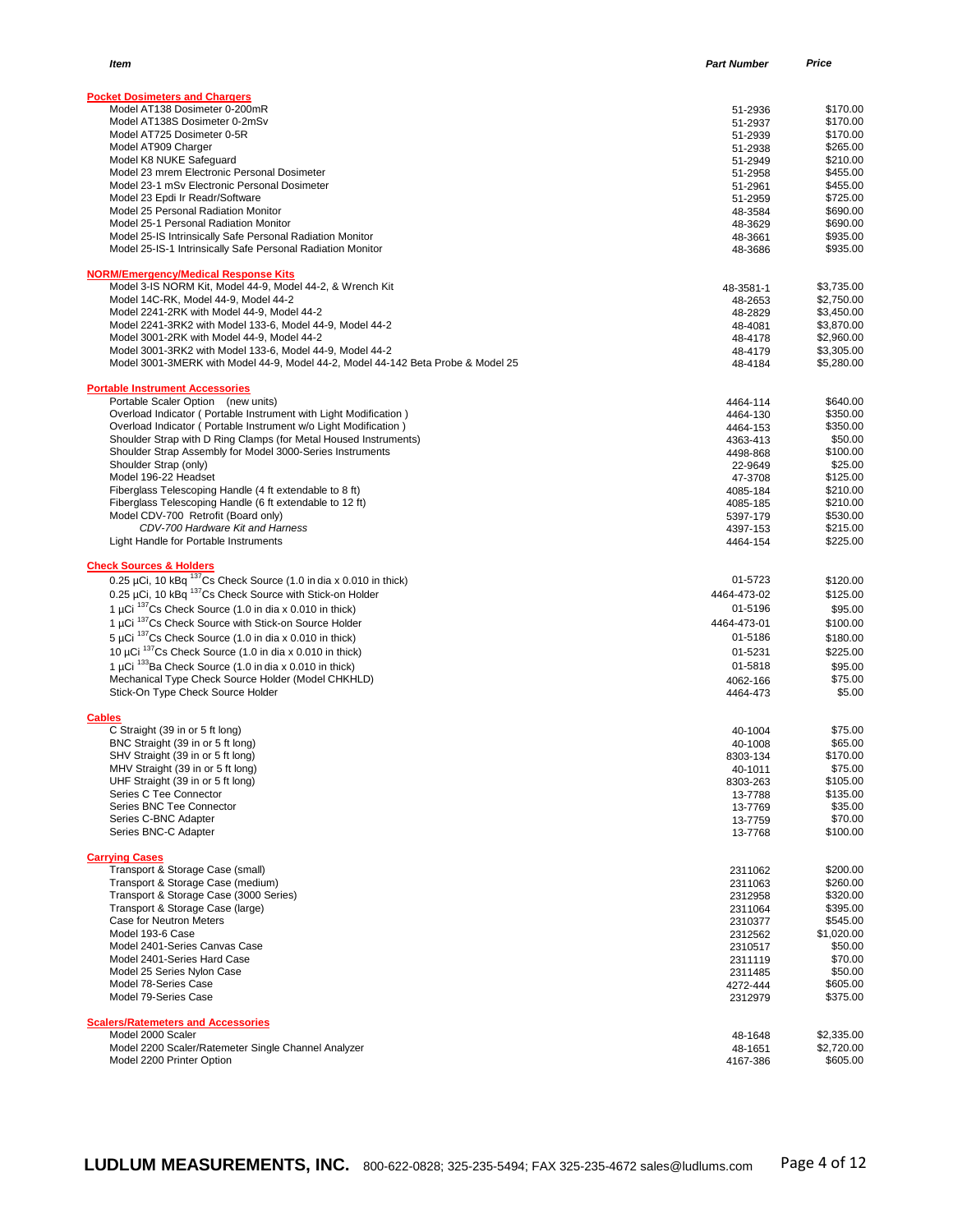| <b>Pocket Dosimeters and Chargers</b>                                                                               |                      |                          |
|---------------------------------------------------------------------------------------------------------------------|----------------------|--------------------------|
| Model AT138 Dosimeter 0-200mR                                                                                       | 51-2936              | \$170.00                 |
| Model AT138S Dosimeter 0-2mSv                                                                                       | 51-2937              | \$170.00                 |
| Model AT725 Dosimeter 0-5R                                                                                          | 51-2939              | \$170.00                 |
| Model AT909 Charger<br>Model K8 NUKE Safeguard                                                                      | 51-2938<br>51-2949   | \$265.00<br>\$210.00     |
| Model 23 mrem Electronic Personal Dosimeter                                                                         | 51-2958              | \$455.00                 |
| Model 23-1 mSv Electronic Personal Dosimeter                                                                        | 51-2961              | \$455.00                 |
| Model 23 Epdi Ir Readr/Software                                                                                     | 51-2959              | \$725.00                 |
| Model 25 Personal Radiation Monitor                                                                                 | 48-3584              | \$690.00                 |
| Model 25-1 Personal Radiation Monitor                                                                               | 48-3629              | \$690.00                 |
| Model 25-IS Intrinsically Safe Personal Radiation Monitor                                                           | 48-3661              | \$935.00                 |
| Model 25-IS-1 Intrinsically Safe Personal Radiation Monitor                                                         | 48-3686              | \$935.00                 |
| <b>NORM/Emergency/Medical Response Kits</b>                                                                         |                      |                          |
| Model 3-IS NORM Kit, Model 44-9, Model 44-2, & Wrench Kit                                                           | 48-3581-1            | \$3,735.00               |
| Model 14C-RK, Model 44-9, Model 44-2                                                                                | 48-2653              | \$2,750.00               |
| Model 2241-2RK with Model 44-9, Model 44-2                                                                          | 48-2829              | \$3,450.00               |
| Model 2241-3RK2 with Model 133-6, Model 44-9, Model 44-2<br>Model 3001-2RK with Model 44-9, Model 44-2              | 48-4081              | \$3,870.00<br>\$2,960.00 |
| Model 3001-3RK2 with Model 133-6, Model 44-9, Model 44-2                                                            | 48-4178<br>48-4179   | \$3,305.00               |
| Model 3001-3MERK with Model 44-9, Model 44-2, Model 44-142 Beta Probe & Model 25                                    | 48-4184              | \$5,280.00               |
|                                                                                                                     |                      |                          |
| <b>Portable Instrument Accessories</b><br>Portable Scaler Option (new units)                                        | 4464-114             | \$640.00                 |
| Overload Indicator ( Portable Instrument with Light Modification )                                                  | 4464-130             | \$350.00                 |
| Overload Indicator (Portable Instrument w/o Light Modification)                                                     | 4464-153             | \$350.00                 |
| Shoulder Strap with D Ring Clamps (for Metal Housed Instruments)                                                    | 4363-413             | \$50.00                  |
| Shoulder Strap Assembly for Model 3000-Series Instruments                                                           | 4498-868             | \$100.00                 |
| Shoulder Strap (only)                                                                                               | 22-9649              | \$25.00                  |
| Model 196-22 Headset                                                                                                | 47-3708              | \$125.00                 |
| Fiberglass Telescoping Handle (4 ft extendable to 8 ft)<br>Fiberglass Telescoping Handle (6 ft extendable to 12 ft) | 4085-184             | \$210.00<br>\$210.00     |
| Model CDV-700 Retrofit (Board only)                                                                                 | 4085-185<br>5397-179 | \$530.00                 |
| CDV-700 Hardware Kit and Harness                                                                                    | 4397-153             | \$215.00                 |
| Light Handle for Portable Instruments                                                                               | 4464-154             | \$225.00                 |
| <b>Check Sources &amp; Holders</b>                                                                                  |                      |                          |
| 0.25 µCi, 10 kBq $^{137}$ Cs Check Source (1.0 in dia x 0.010 in thick)                                             | 01-5723              | \$120.00                 |
| 0.25 µCi, 10 kBq 137Cs Check Source with Stick-on Holder                                                            | 4464-473-02          | \$125.00                 |
| 1 µCi $^{137}$ Cs Check Source (1.0 in dia x 0.010 in thick)                                                        | 01-5196              | \$95.00                  |
| 1 µCi 137 Cs Check Source with Stick-on Source Holder                                                               | 4464-473-01          | \$100.00                 |
| 5 µCi $137$ Cs Check Source (1.0 in dia x 0.010 in thick)                                                           | 01-5186              | \$180.00                 |
| 10 µCi $137$ Cs Check Source (1.0 in dia x 0.010 in thick)                                                          | 01-5231              | \$225.00                 |
| 1 µCi 133Ba Check Source (1.0 in dia x 0.010 in thick)                                                              | 01-5818              | \$95.00                  |
| Mechanical Type Check Source Holder (Model CHKHLD)                                                                  | 4062-166             | \$75.00                  |
| Stick-On Type Check Source Holder                                                                                   | 4464-473             | \$5.00                   |
|                                                                                                                     |                      |                          |
| <b>Cables</b><br>C Straight (39 in or 5 ft long)                                                                    | 40-1004              | \$75.00                  |
| BNC Straight (39 in or 5 ft long)                                                                                   | 40-1008              | \$65.00                  |
| SHV Straight (39 in or 5 ft long)                                                                                   | 8303-134             | \$170.00                 |
| MHV Straight (39 in or 5 ft long)                                                                                   | 40-1011              | \$75.00                  |
| UHF Straight (39 in or 5 ft long)                                                                                   | 8303-263             | \$105.00                 |
| Series C Tee Connector                                                                                              | 13-7788              | \$135.00                 |
| Series BNC Tee Connector<br>Series C-BNC Adapter                                                                    | 13-7769              | \$35.00<br>\$70.00       |
| Series BNC-C Adapter                                                                                                | 13-7759<br>13-7768   | \$100.00                 |
|                                                                                                                     |                      |                          |
| <b>Carrying Cases</b><br>Transport & Storage Case (small)                                                           | 2311062              | \$200.00                 |
| Transport & Storage Case (medium)                                                                                   | 2311063              | \$260.00                 |
| Transport & Storage Case (3000 Series)                                                                              | 2312958              | \$320.00                 |
| Transport & Storage Case (large)                                                                                    | 2311064              | \$395.00                 |
| Case for Neutron Meters                                                                                             | 2310377              | \$545.00                 |
| Model 193-6 Case                                                                                                    | 2312562              | \$1,020.00               |
| Model 2401-Series Canvas Case                                                                                       | 2310517              | \$50.00                  |
| Model 2401-Series Hard Case                                                                                         | 2311119              | \$70.00                  |
| Model 25 Series Nylon Case<br>Model 78-Series Case                                                                  | 2311485              | \$50.00<br>\$605.00      |
| Model 79-Series Case                                                                                                | 4272-444<br>2312979  | \$375.00                 |
|                                                                                                                     |                      |                          |
| <b>Scalers/Ratemeters and Accessories</b>                                                                           |                      |                          |

*Item Part Number Price*

| Model 2000 Scaler                                   | 48-1648  | \$2,335,00 |
|-----------------------------------------------------|----------|------------|
| Model 2200 Scaler/Ratemeter Single Channel Analyzer | 48-1651  | \$2,720.00 |
| Model 2200 Printer Option                           | 4167-386 | \$605.00   |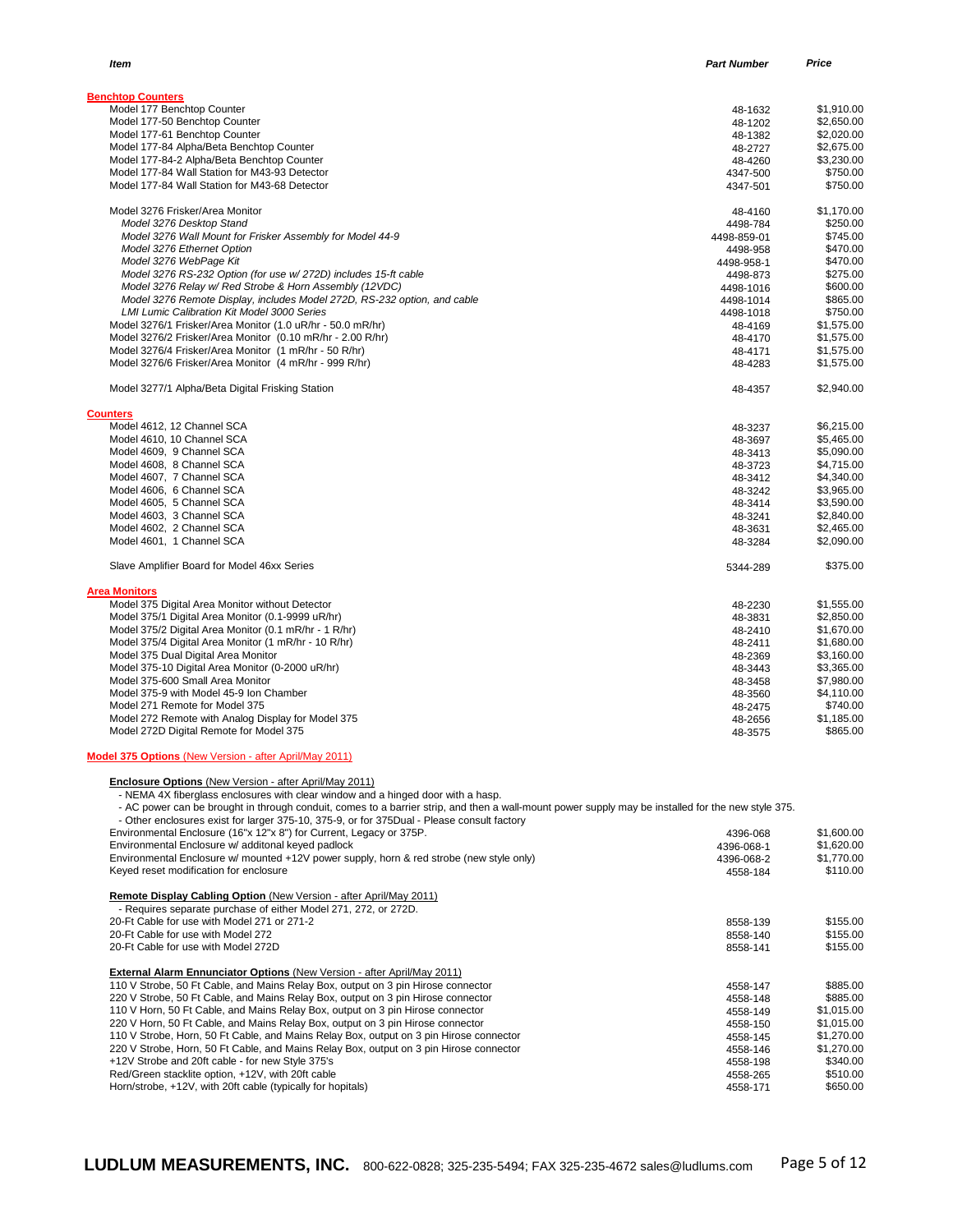| Item                                                                     | <b>Part Number</b> | Price      |
|--------------------------------------------------------------------------|--------------------|------------|
| <b>Benchtop Counters</b>                                                 |                    |            |
| Model 177 Benchtop Counter                                               | 48-1632            | \$1,910.00 |
| Model 177-50 Benchtop Counter                                            | 48-1202            | \$2,650.00 |
| Model 177-61 Benchtop Counter                                            | 48-1382            | \$2,020.00 |
| Model 177-84 Alpha/Beta Benchtop Counter                                 | 48-2727            | \$2,675.00 |
| Model 177-84-2 Alpha/Beta Benchtop Counter                               | 48-4260            | \$3,230.00 |
| Model 177-84 Wall Station for M43-93 Detector                            |                    | \$750.00   |
| Model 177-84 Wall Station for M43-68 Detector                            | 4347-500           | \$750.00   |
|                                                                          | 4347-501           |            |
| Model 3276 Frisker/Area Monitor                                          | 48-4160            | \$1,170.00 |
| Model 3276 Desktop Stand                                                 | 4498-784           | \$250.00   |
| Model 3276 Wall Mount for Frisker Assembly for Model 44-9                | 4498-859-01        | \$745.00   |
| Model 3276 Ethernet Option                                               | 4498-958           | \$470.00   |
| Model 3276 WebPage Kit                                                   | 4498-958-1         | \$470.00   |
| Model 3276 RS-232 Option (for use w/ 272D) includes 15-ft cable          | 4498-873           | \$275.00   |
| Model 3276 Relay w/ Red Strobe & Horn Assembly (12VDC)                   | 4498-1016          | \$600.00   |
| Model 3276 Remote Display, includes Model 272D, RS-232 option, and cable | 4498-1014          | \$865.00   |
| <b>LMI Lumic Calibration Kit Model 3000 Series</b>                       | 4498-1018          | \$750.00   |
| Model 3276/1 Frisker/Area Monitor (1.0 uR/hr - 50.0 mR/hr)               | 48-4169            | \$1,575.00 |
| Model 3276/2 Frisker/Area Monitor (0.10 mR/hr - 2.00 R/hr)               | 48-4170            | \$1,575.00 |
| Model 3276/4 Frisker/Area Monitor (1 mR/hr - 50 R/hr)                    | 48-4171            | \$1,575.00 |
| Model 3276/6 Frisker/Area Monitor (4 mR/hr - 999 R/hr)                   | 48-4283            | \$1,575.00 |
| Model 3277/1 Alpha/Beta Digital Frisking Station                         | 48-4357            | \$2,940.00 |
| <b>Counters</b>                                                          |                    |            |
| Model 4612, 12 Channel SCA                                               | 48-3237            | \$6,215.00 |
| Model 4610, 10 Channel SCA                                               | 48-3697            | \$5,465.00 |
| Model 4609, 9 Channel SCA                                                | 48-3413            | \$5,090.00 |
| Model 4608, 8 Channel SCA                                                | 48-3723            | \$4,715.00 |
| Model 4607, 7 Channel SCA                                                | 48-3412            | \$4,340.00 |
| Model 4606, 6 Channel SCA                                                | 48-3242            | \$3,965.00 |
| Model 4605, 5 Channel SCA                                                | 48-3414            | \$3,590.00 |
| Model 4603, 3 Channel SCA                                                | 48-3241            | \$2,840.00 |
| Model 4602, 2 Channel SCA                                                | 48-3631            | \$2,465.00 |
| Model 4601, 1 Channel SCA                                                | 48-3284            | \$2,090.00 |
| Slave Amplifier Board for Model 46xx Series                              | 5344-289           | \$375.00   |
| <b>Area Monitors</b>                                                     |                    |            |
| Model 375 Digital Area Monitor without Detector                          | 48-2230            | \$1,555.00 |
| Model 375/1 Digital Area Monitor (0.1-9999 uR/hr)                        | 48-3831            | \$2,850.00 |
| Model 375/2 Digital Area Monitor (0.1 mR/hr - 1 R/hr)                    | 48-2410            | \$1,670.00 |
| Model 375/4 Digital Area Monitor (1 mR/hr - 10 R/hr)                     | 48-2411            | \$1,680.00 |
| Model 375 Dual Digital Area Monitor                                      | 48-2369            | \$3,160.00 |
| Model 375-10 Digital Area Monitor (0-2000 uR/hr)                         |                    | \$3,365.00 |
|                                                                          | 48-3443            |            |
| Model 375-600 Small Area Monitor                                         | 48-3458            | \$7,980.00 |
| Model 375-9 with Model 45-9 Ion Chamber                                  | 48-3560            | \$4,110.00 |
| Model 271 Remote for Model 375                                           | 48-2475            | \$740.00   |
| Model 272 Remote with Analog Display for Model 375                       | 48-2656            | \$1,185.00 |
| Model 272D Digital Remote for Model 375                                  | 48-3575            | \$865.00   |
| Model 375 Options (New Version - after April/May 2011)                   |                    |            |

**Enclosure Options** (New Version - after April/May 2011) - NEMA 4X fiberglass enclosures with clear window and a hinged door with a hasp.

- AC power can be brought in through conduit, comes to a barrier strip, and then a wall-mount power supply may be installed for the new style 375.

- Other enclosures exist for larger 375-10, 375-9, or for 375Dual - Please consult factory

| Environmental Enclosure (16"x 12"x 8") for Current, Legacy or 375P.                      | 4396-068   | \$1,600.00 |
|------------------------------------------------------------------------------------------|------------|------------|
| Environmental Enclosure w/ additonal keyed padlock                                       | 4396-068-1 | \$1,620.00 |
| Environmental Enclosure w/ mounted +12V power supply, horn & red strobe (new style only) | 4396-068-2 | \$1,770.00 |
| Keyed reset modification for enclosure                                                   | 4558-184   | \$110.00   |
| Remote Display Cabling Option (New Version - after April/May 2011)                       |            |            |
| - Requires separate purchase of either Model 271, 272, or 272D.                          |            |            |
| 20-Ft Cable for use with Model 271 or 271-2                                              | 8558-139   | \$155.00   |
| 20-Ft Cable for use with Model 272                                                       | 8558-140   | \$155.00   |
| 20-Ft Cable for use with Model 272D                                                      | 8558-141   | \$155.00   |
| <b>External Alarm Ennunciator Options (New Version - after April/May 2011)</b>           |            |            |
| 110 V Strobe, 50 Ft Cable, and Mains Relay Box, output on 3 pin Hirose connector         | 4558-147   | \$885.00   |
| 220 V Strobe, 50 Ft Cable, and Mains Relay Box, output on 3 pin Hirose connector         | 4558-148   | \$885.00   |
| 110 V Horn, 50 Ft Cable, and Mains Relay Box, output on 3 pin Hirose connector           | 4558-149   | \$1,015.00 |
| 220 V Horn, 50 Ft Cable, and Mains Relay Box, output on 3 pin Hirose connector           | 4558-150   | \$1,015.00 |
| 110 V Strobe, Horn, 50 Ft Cable, and Mains Relay Box, output on 3 pin Hirose connector   | 4558-145   | \$1,270.00 |
| 220 V Strobe, Horn, 50 Ft Cable, and Mains Relay Box, output on 3 pin Hirose connector   | 4558-146   | \$1,270.00 |
| +12V Strobe and 20ft cable - for new Style 375's                                         | 4558-198   | \$340.00   |
| Red/Green stacklite option, +12V, with 20ft cable                                        | 4558-265   | \$510.00   |
| Horn/strobe, +12V, with 20ft cable (typically for hopitals)                              | 4558-171   | \$650.00   |
|                                                                                          |            |            |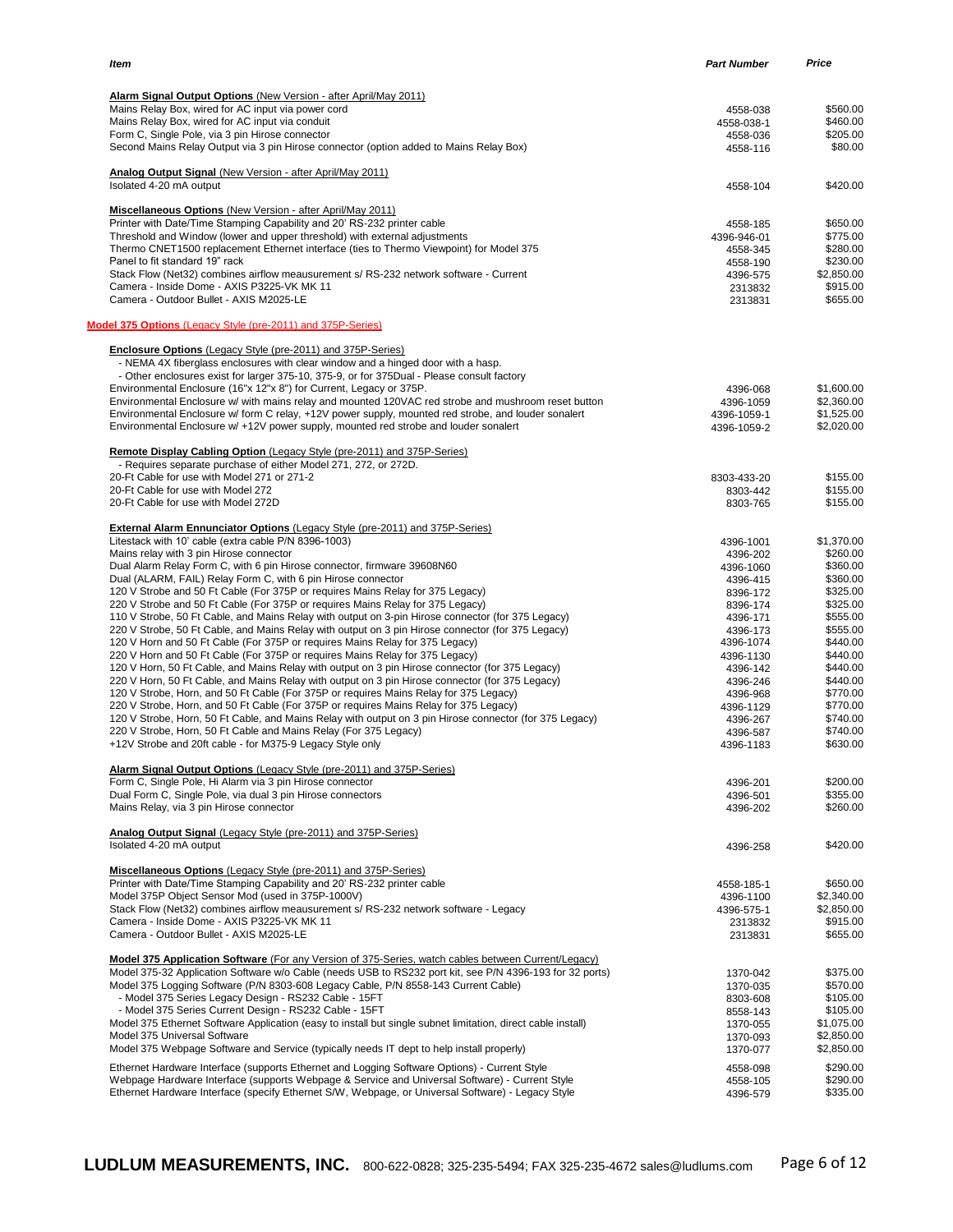| Item                                                                                                                                                                                             | <b>Part Number</b>      | Price                  |
|--------------------------------------------------------------------------------------------------------------------------------------------------------------------------------------------------|-------------------------|------------------------|
|                                                                                                                                                                                                  |                         |                        |
| <b>Alarm Signal Output Options (New Version - after April/May 2011)</b>                                                                                                                          |                         |                        |
| Mains Relay Box, wired for AC input via power cord<br>Mains Relay Box, wired for AC input via conduit                                                                                            | 4558-038                | \$560.00<br>\$460.00   |
| Form C, Single Pole, via 3 pin Hirose connector                                                                                                                                                  | 4558-038-1<br>4558-036  | \$205.00               |
| Second Mains Relay Output via 3 pin Hirose connector (option added to Mains Relay Box)                                                                                                           | 4558-116                | \$80.00                |
| Analog Output Signal (New Version - after April/May 2011)                                                                                                                                        |                         |                        |
| Isolated 4-20 mA output                                                                                                                                                                          | 4558-104                | \$420.00               |
| <b>Miscellaneous Options (New Version - after April/May 2011)</b>                                                                                                                                |                         |                        |
| Printer with Date/Time Stamping Capability and 20' RS-232 printer cable                                                                                                                          | 4558-185                | \$650.00               |
| Threshold and Window (lower and upper threshold) with external adjustments<br>Thermo CNET1500 replacement Ethernet interface (ties to Thermo Viewpoint) for Model 375                            | 4396-946-01<br>4558-345 | \$775.00<br>\$280.00   |
| Panel to fit standard 19" rack                                                                                                                                                                   | 4558-190                | \$230.00               |
| Stack Flow (Net32) combines airflow meausurement s/ RS-232 network software - Current                                                                                                            | 4396-575                | \$2,850.00             |
| Camera - Inside Dome - AXIS P3225-VK MK 11                                                                                                                                                       | 2313832                 | \$915.00               |
| Camera - Outdoor Bullet - AXIS M2025-LE                                                                                                                                                          | 2313831                 | \$655.00               |
| Model 375 Options (Legacy Style (pre-2011) and 375P-Series)                                                                                                                                      |                         |                        |
| <b>Enclosure Options</b> (Legacy Style (pre-2011) and 375P-Series)                                                                                                                               |                         |                        |
| - NEMA 4X fiberglass enclosures with clear window and a hinged door with a hasp.                                                                                                                 |                         |                        |
| - Other enclosures exist for larger 375-10, 375-9, or for 375Dual - Please consult factory                                                                                                       |                         |                        |
| Environmental Enclosure (16"x 12"x 8") for Current, Legacy or 375P.                                                                                                                              | 4396-068                | \$1,600.00             |
| Environmental Enclosure w/ with mains relay and mounted 120VAC red strobe and mushroom reset button                                                                                              | 4396-1059               | \$2,360.00             |
| Environmental Enclosure w/ form C relay, +12V power supply, mounted red strobe, and louder sonalert                                                                                              | 4396-1059-1             | \$1,525.00             |
| Environmental Enclosure w/ +12V power supply, mounted red strobe and louder sonalert                                                                                                             | 4396-1059-2             | \$2,020.00             |
| Remote Display Cabling Option (Legacy Style (pre-2011) and 375P-Series)<br>- Requires separate purchase of either Model 271, 272, or 272D.                                                       |                         |                        |
| 20-Ft Cable for use with Model 271 or 271-2                                                                                                                                                      | 8303-433-20             | \$155.00               |
| 20-Ft Cable for use with Model 272                                                                                                                                                               | 8303-442                | \$155.00               |
| 20-Ft Cable for use with Model 272D                                                                                                                                                              | 8303-765                | \$155.00               |
| <b>External Alarm Ennunciator Options (Legacy Style (pre-2011) and 375P-Series)</b>                                                                                                              |                         |                        |
| Litestack with 10' cable (extra cable P/N 8396-1003)                                                                                                                                             | 4396-1001               | \$1,370.00             |
| Mains relay with 3 pin Hirose connector                                                                                                                                                          | 4396-202                | \$260.00<br>\$360.00   |
| Dual Alarm Relay Form C, with 6 pin Hirose connector, firmware 39608N60<br>Dual (ALARM, FAIL) Relay Form C, with 6 pin Hirose connector                                                          | 4396-1060<br>4396-415   | \$360.00               |
| 120 V Strobe and 50 Ft Cable (For 375P or requires Mains Relay for 375 Legacy)                                                                                                                   | 8396-172                | \$325.00               |
| 220 V Strobe and 50 Ft Cable (For 375P or requires Mains Relay for 375 Legacy)                                                                                                                   | 8396-174                | \$325.00               |
| 110 V Strobe, 50 Ft Cable, and Mains Relay with output on 3-pin Hirose connector (for 375 Legacy)                                                                                                | 4396-171                | \$555.00               |
| 220 V Strobe, 50 Ft Cable, and Mains Relay with output on 3 pin Hirose connector (for 375 Legacy)                                                                                                | 4396-173                | \$555.00               |
| 120 V Horn and 50 Ft Cable (For 375P or requires Mains Relay for 375 Legacy)                                                                                                                     | 4396-1074               | \$440.00               |
| 220 V Horn and 50 Ft Cable (For 375P or requires Mains Relay for 375 Legacy)                                                                                                                     | 4396-1130               | \$440.00               |
| 120 V Horn, 50 Ft Cable, and Mains Relay with output on 3 pin Hirose connector (for 375 Legacy)                                                                                                  | 4396-142                | \$440.00               |
| 220 V Horn, 50 Ft Cable, and Mains Relay with output on 3 pin Hirose connector (for 375 Legacy)                                                                                                  | 4396-246                | \$440.00               |
| 120 V Strobe, Horn, and 50 Ft Cable (For 375P or requires Mains Relay for 375 Legacy)                                                                                                            | 4396-968                | \$770.00               |
| 220 V Strobe, Horn, and 50 Ft Cable (For 375P or requires Mains Relay for 375 Legacy)<br>120 V Strobe, Horn, 50 Ft Cable, and Mains Relay with output on 3 pin Hirose connector (for 375 Legacy) | 4396-1129               | \$770.00<br>\$740.00   |
| 220 V Strobe, Horn, 50 Ft Cable and Mains Relay (For 375 Legacy)                                                                                                                                 | 4396-267<br>4396-587    | \$740.00               |
| +12V Strobe and 20ft cable - for M375-9 Legacy Style only                                                                                                                                        | 4396-1183               | \$630.00               |
| Alarm Signal Output Options (Legacy Style (pre-2011) and 375P-Series)                                                                                                                            |                         |                        |
| Form C, Single Pole, Hi Alarm via 3 pin Hirose connector                                                                                                                                         | 4396-201                | \$200.00               |
| Dual Form C, Single Pole, via dual 3 pin Hirose connectors                                                                                                                                       | 4396-501                | \$355.00               |
| Mains Relay, via 3 pin Hirose connector                                                                                                                                                          | 4396-202                | \$260.00               |
| Analog Output Signal (Legacy Style (pre-2011) and 375P-Series)                                                                                                                                   |                         |                        |
| Isolated 4-20 mA output                                                                                                                                                                          | 4396-258                | \$420.00               |
| <b>Miscellaneous Options (Legacy Style (pre-2011) and 375P-Series)</b>                                                                                                                           |                         |                        |
| Printer with Date/Time Stamping Capability and 20' RS-232 printer cable                                                                                                                          | 4558-185-1              | \$650.00               |
| Model 375P Object Sensor Mod (used in 375P-1000V)<br>Stack Flow (Net32) combines airflow meausurement s/ RS-232 network software - Legacy                                                        | 4396-1100<br>4396-575-1 | \$2,340.00             |
| Camera - Inside Dome - AXIS P3225-VK MK 11                                                                                                                                                       | 2313832                 | \$2,850.00<br>\$915.00 |
| Camera - Outdoor Bullet - AXIS M2025-LE                                                                                                                                                          | 2313831                 | \$655.00               |
| <b>Model 375 Application Software</b> (For any Version of 375-Series, watch cables between Current/Legacy)                                                                                       |                         |                        |
| Model 375-32 Application Software w/o Cable (needs USB to RS232 port kit, see P/N 4396-193 for 32 ports)                                                                                         | 1370-042                | \$375.00               |
| Model 375 Logging Software (P/N 8303-608 Legacy Cable, P/N 8558-143 Current Cable)                                                                                                               | 1370-035                | \$570.00               |
| - Model 375 Series Legacy Design - RS232 Cable - 15FT                                                                                                                                            | 8303-608                | \$105.00               |
| - Model 375 Series Current Design - RS232 Cable - 15FT                                                                                                                                           | 8558-143                | \$105.00               |
| Model 375 Ethernet Software Application (easy to install but single subnet limitation, direct cable install)                                                                                     | 1370-055                | \$1,075.00             |
| Model 375 Universal Software                                                                                                                                                                     | 1370-093                | \$2,850.00             |
| Model 375 Webpage Software and Service (typically needs IT dept to help install properly)                                                                                                        | 1370-077                | \$2,850.00             |
| Ethernet Hardware Interface (supports Ethernet and Logging Software Options) - Current Style                                                                                                     | 4558-098                | \$290.00               |
| Webpage Hardware Interface (supports Webpage & Service and Universal Software) - Current Style                                                                                                   | 4558-105                | \$290.00               |
| Ethernet Hardware Interface (specify Ethernet S/W, Webpage, or Universal Software) - Legacy Style                                                                                                | 4396-579                | \$335.00               |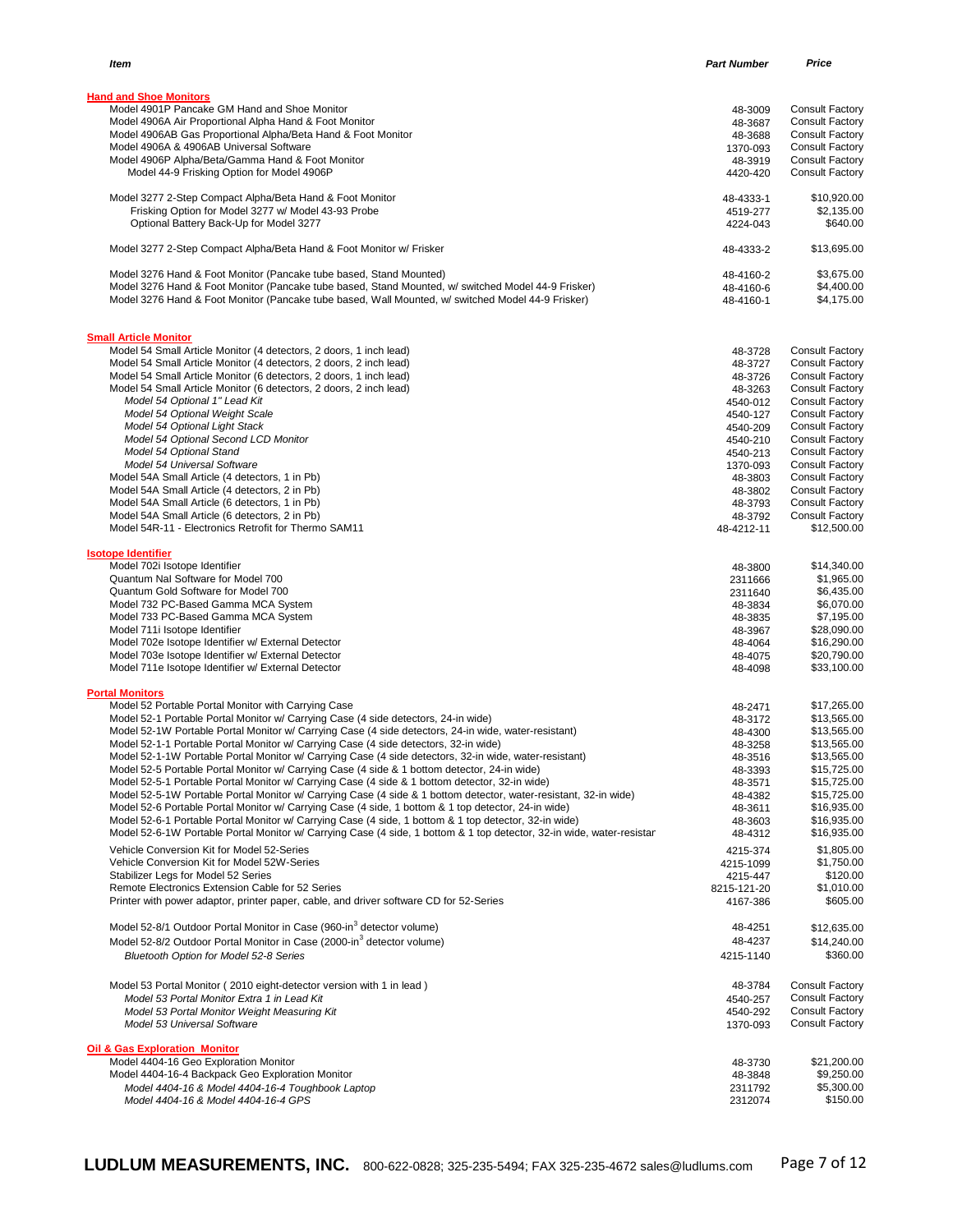| Item                                                                                                                                                                                                         | <b>Part Number</b>  | Price                                            |
|--------------------------------------------------------------------------------------------------------------------------------------------------------------------------------------------------------------|---------------------|--------------------------------------------------|
|                                                                                                                                                                                                              |                     |                                                  |
| <b>Hand and Shoe Monitors</b>                                                                                                                                                                                |                     |                                                  |
| Model 4901P Pancake GM Hand and Shoe Monitor                                                                                                                                                                 | 48-3009             | <b>Consult Factory</b>                           |
| Model 4906A Air Proportional Alpha Hand & Foot Monitor                                                                                                                                                       | 48-3687             | <b>Consult Factory</b>                           |
| Model 4906AB Gas Proportional Alpha/Beta Hand & Foot Monitor<br>Model 4906A & 4906AB Universal Software                                                                                                      | 48-3688             | <b>Consult Factory</b>                           |
|                                                                                                                                                                                                              | 1370-093            | <b>Consult Factory</b><br><b>Consult Factory</b> |
| Model 4906P Alpha/Beta/Gamma Hand & Foot Monitor<br>Model 44-9 Frisking Option for Model 4906P                                                                                                               | 48-3919<br>4420-420 | <b>Consult Factory</b>                           |
|                                                                                                                                                                                                              |                     |                                                  |
| Model 3277 2-Step Compact Alpha/Beta Hand & Foot Monitor                                                                                                                                                     | 48-4333-1           | \$10,920.00                                      |
| Frisking Option for Model 3277 w/ Model 43-93 Probe                                                                                                                                                          | 4519-277            | \$2,135.00                                       |
| Optional Battery Back-Up for Model 3277                                                                                                                                                                      | 4224-043            | \$640.00                                         |
| Model 3277 2-Step Compact Alpha/Beta Hand & Foot Monitor w/ Frisker                                                                                                                                          | 48-4333-2           | \$13,695.00                                      |
| Model 3276 Hand & Foot Monitor (Pancake tube based, Stand Mounted)                                                                                                                                           | 48-4160-2           | \$3,675.00                                       |
| Model 3276 Hand & Foot Monitor (Pancake tube based, Stand Mounted, w/ switched Model 44-9 Frisker)                                                                                                           | 48-4160-6           | \$4,400.00                                       |
| Model 3276 Hand & Foot Monitor (Pancake tube based, Wall Mounted, w/ switched Model 44-9 Frisker)                                                                                                            | 48-4160-1           | \$4,175.00                                       |
|                                                                                                                                                                                                              |                     |                                                  |
| <b>Small Article Monitor</b>                                                                                                                                                                                 |                     |                                                  |
| Model 54 Small Article Monitor (4 detectors, 2 doors, 1 inch lead)                                                                                                                                           | 48-3728             | <b>Consult Factory</b>                           |
| Model 54 Small Article Monitor (4 detectors, 2 doors, 2 inch lead)                                                                                                                                           | 48-3727             | <b>Consult Factory</b>                           |
| Model 54 Small Article Monitor (6 detectors, 2 doors, 1 inch lead)                                                                                                                                           | 48-3726             | <b>Consult Factory</b>                           |
| Model 54 Small Article Monitor (6 detectors, 2 doors, 2 inch lead)                                                                                                                                           | 48-3263             | <b>Consult Factory</b>                           |
| Model 54 Optional 1" Lead Kit                                                                                                                                                                                | 4540-012            | <b>Consult Factory</b>                           |
| Model 54 Optional Weight Scale                                                                                                                                                                               | 4540-127            | <b>Consult Factory</b>                           |
| Model 54 Optional Light Stack                                                                                                                                                                                | 4540-209            | <b>Consult Factory</b>                           |
| Model 54 Optional Second LCD Monitor                                                                                                                                                                         | 4540-210            | <b>Consult Factory</b>                           |
| Model 54 Optional Stand                                                                                                                                                                                      | 4540-213            | <b>Consult Factory</b>                           |
| Model 54 Universal Software                                                                                                                                                                                  | 1370-093            | <b>Consult Factory</b>                           |
| Model 54A Small Article (4 detectors, 1 in Pb)                                                                                                                                                               | 48-3803             | <b>Consult Factory</b>                           |
| Model 54A Small Article (4 detectors, 2 in Pb)                                                                                                                                                               | 48-3802             | <b>Consult Factory</b>                           |
| Model 54A Small Article (6 detectors, 1 in Pb)                                                                                                                                                               | 48-3793             | <b>Consult Factory</b>                           |
| Model 54A Small Article (6 detectors, 2 in Pb)                                                                                                                                                               | 48-3792             | <b>Consult Factory</b>                           |
| Model 54R-11 - Electronics Retrofit for Thermo SAM11                                                                                                                                                         | 48-4212-11          | \$12,500.00                                      |
| <b>Isotope Identifier</b>                                                                                                                                                                                    |                     |                                                  |
| Model 702i Isotope Identifier                                                                                                                                                                                | 48-3800             | \$14,340.00                                      |
| Quantum Nal Software for Model 700                                                                                                                                                                           | 2311666             | \$1,965.00                                       |
| Quantum Gold Software for Model 700                                                                                                                                                                          | 2311640             | \$6,435.00                                       |
| Model 732 PC-Based Gamma MCA System                                                                                                                                                                          | 48-3834             | \$6,070.00                                       |
| Model 733 PC-Based Gamma MCA System                                                                                                                                                                          | 48-3835             | \$7,195.00                                       |
| Model 711i Isotope Identifier                                                                                                                                                                                | 48-3967             | \$28,090.00                                      |
| Model 702e Isotope Identifier w/ External Detector                                                                                                                                                           | 48-4064             | \$16,290.00                                      |
| Model 703e Isotope Identifier w/ External Detector                                                                                                                                                           | 48-4075             | \$20,790.00                                      |
| Model 711e Isotope Identifier w/ External Detector                                                                                                                                                           | 48-4098             | \$33,100.00                                      |
|                                                                                                                                                                                                              |                     |                                                  |
| <b>Portal Monitors</b><br>Model 52 Portable Portal Monitor with Carrying Case                                                                                                                                |                     | \$17,265.00                                      |
| Model 52-1 Portable Portal Monitor w/ Carrying Case (4 side detectors, 24-in wide)                                                                                                                           | 48-2471<br>48-3172  | \$13,565.00                                      |
| Model 52-1W Portable Portal Monitor w/ Carrying Case (4 side detectors, 24-in wide, water-resistant)                                                                                                         |                     | \$13,565.00                                      |
| Model 52-1-1 Portable Portal Monitor w/ Carrying Case (4 side detectors, 32-in wide)                                                                                                                         | 48-4300<br>48-3258  | \$13,565.00                                      |
| Model 52-1-1W Portable Portal Monitor w/ Carrying Case (4 side detectors, 32-in wide, water-resistant)                                                                                                       |                     | \$13,565.00                                      |
| Model 52-5 Portable Portal Monitor w/ Carrying Case (4 side & 1 bottom detector, 24-in wide)                                                                                                                 | 48-3516             | \$15,725.00                                      |
| Model 52-5-1 Portable Portal Monitor w/ Carrying Case (4 side & 1 bottom detector, 32-in wide)                                                                                                               | 48-3393             | \$15,725.00                                      |
| Model 52-5-1W Portable Portal Monitor w/ Carrying Case (4 side & 1 bottom detector, water-resistant, 32-in wide)                                                                                             | 48-3571             |                                                  |
|                                                                                                                                                                                                              | 48-4382             | \$15,725.00<br>\$16,935.00                       |
| Model 52-6 Portable Portal Monitor w/ Carrying Case (4 side, 1 bottom & 1 top detector, 24-in wide)<br>Model 52-6-1 Portable Portal Monitor w/ Carrying Case (4 side, 1 bottom & 1 top detector, 32-in wide) | 48-3611             | \$16,935.00                                      |
|                                                                                                                                                                                                              | 48-3603             |                                                  |
| Model 52-6-1W Portable Portal Monitor w/ Carrying Case (4 side, 1 bottom & 1 top detector, 32-in wide, water-resistar                                                                                        | 48-4312             | \$16,935.00                                      |
| Vehicle Conversion Kit for Model 52-Series                                                                                                                                                                   | 4215-374            | \$1,805.00                                       |
| Vehicle Conversion Kit for Model 52W-Series                                                                                                                                                                  | 4215-1099           | \$1,750.00                                       |
| Stabilizer Legs for Model 52 Series                                                                                                                                                                          | 4215-447            | \$120.00                                         |
| Remote Electronics Extension Cable for 52 Series                                                                                                                                                             | 8215-121-20         | \$1,010.00                                       |
| Printer with power adaptor, printer paper, cable, and driver software CD for 52-Series                                                                                                                       | 4167-386            | \$605.00                                         |
| Model 52-8/1 Outdoor Portal Monitor in Case (960-in <sup>3</sup> detector volume)                                                                                                                            | 48-4251             | \$12,635.00                                      |
| Model 52-8/2 Outdoor Portal Monitor in Case (2000-in <sup>3</sup> detector volume)                                                                                                                           | 48-4237             | \$14,240.00                                      |
| <b>Bluetooth Option for Model 52-8 Series</b>                                                                                                                                                                | 4215-1140           | \$360.00                                         |
|                                                                                                                                                                                                              |                     |                                                  |
| Model 53 Portal Monitor (2010 eight-detector version with 1 in lead)                                                                                                                                         | 48-3784             | <b>Consult Factory</b>                           |
| Model 53 Portal Monitor Extra 1 in Lead Kit                                                                                                                                                                  | 4540-257            | <b>Consult Factory</b>                           |
| Model 53 Portal Monitor Weight Measuring Kit                                                                                                                                                                 | 4540-292            | <b>Consult Factory</b>                           |
| Model 53 Universal Software                                                                                                                                                                                  | 1370-093            | <b>Consult Factory</b>                           |
| <b>Oil &amp; Gas Exploration Monitor</b>                                                                                                                                                                     |                     |                                                  |
| Model 4404-16 Geo Exploration Monitor                                                                                                                                                                        | 48-3730             | \$21,200.00                                      |
| Model 4404-16-4 Backpack Geo Exploration Monitor                                                                                                                                                             | 48-3848             | \$9,250.00                                       |
| Model 4404-16 & Model 4404-16-4 Toughbook Laptop                                                                                                                                                             | 2311792             | \$5,300.00                                       |
| Model 4404-16 & Model 4404-16-4 GPS                                                                                                                                                                          | 2312074             | \$150.00                                         |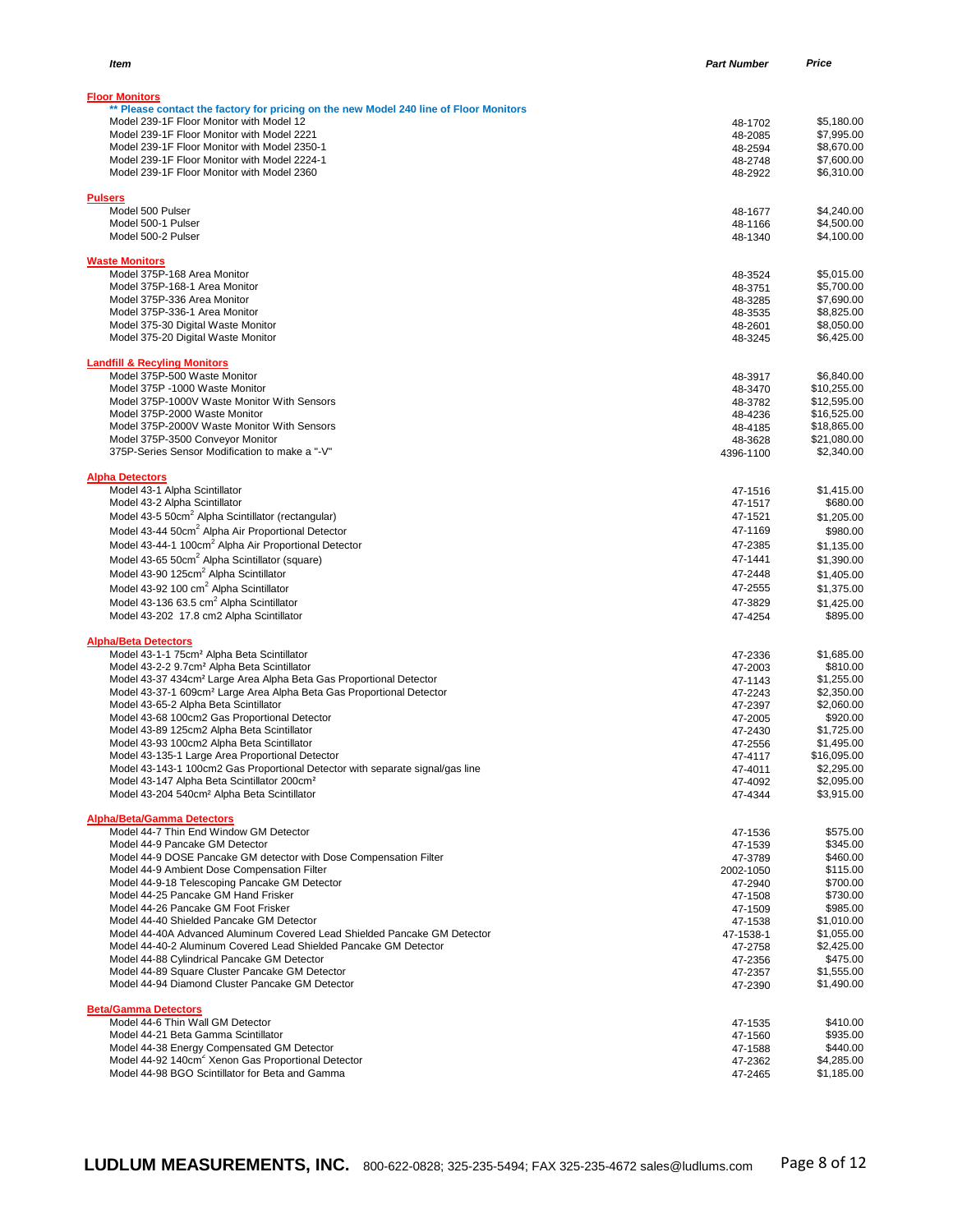| <b>Floor Monitors</b>                                                                                                                    |                    |                            |
|------------------------------------------------------------------------------------------------------------------------------------------|--------------------|----------------------------|
| ** Please contact the factory for pricing on the new Model 240 line of Floor Monitors                                                    |                    |                            |
| Model 239-1F Floor Monitor with Model 12                                                                                                 | 48-1702            | \$5,180.00                 |
| Model 239-1F Floor Monitor with Model 2221                                                                                               | 48-2085            | \$7,995.00                 |
| Model 239-1F Floor Monitor with Model 2350-1<br>Model 239-1F Floor Monitor with Model 2224-1                                             | 48-2594<br>48-2748 | \$8,670.00<br>\$7,600.00   |
| Model 239-1F Floor Monitor with Model 2360                                                                                               | 48-2922            | \$6,310.00                 |
|                                                                                                                                          |                    |                            |
| <b>Pulsers</b>                                                                                                                           |                    |                            |
| Model 500 Pulser<br>Model 500-1 Pulser                                                                                                   | 48-1677            | \$4,240.00                 |
| Model 500-2 Pulser                                                                                                                       | 48-1166<br>48-1340 | \$4,500.00<br>\$4,100.00   |
|                                                                                                                                          |                    |                            |
| <b>Waste Monitors</b>                                                                                                                    |                    |                            |
| Model 375P-168 Area Monitor                                                                                                              | 48-3524            | \$5,015.00                 |
| Model 375P-168-1 Area Monitor<br>Model 375P-336 Area Monitor                                                                             | 48-3751<br>48-3285 | \$5,700.00<br>\$7,690.00   |
| Model 375P-336-1 Area Monitor                                                                                                            | 48-3535            | \$8,825.00                 |
| Model 375-30 Digital Waste Monitor                                                                                                       | 48-2601            | \$8,050.00                 |
| Model 375-20 Digital Waste Monitor                                                                                                       | 48-3245            | \$6,425.00                 |
| <b>Landfill &amp; Recyling Monitors</b>                                                                                                  |                    |                            |
| Model 375P-500 Waste Monitor                                                                                                             | 48-3917            | \$6,840.00                 |
| Model 375P -1000 Waste Monitor                                                                                                           | 48-3470            | \$10,255.00                |
| Model 375P-1000V Waste Monitor With Sensors                                                                                              | 48-3782            | \$12.595.00                |
| Model 375P-2000 Waste Monitor                                                                                                            | 48-4236            | \$16,525.00                |
| Model 375P-2000V Waste Monitor With Sensors<br>Model 375P-3500 Conveyor Monitor                                                          | 48-4185<br>48-3628 | \$18,865.00<br>\$21,080.00 |
| 375P-Series Sensor Modification to make a "-V"                                                                                           | 4396-1100          | \$2,340.00                 |
|                                                                                                                                          |                    |                            |
| <b>Alpha Detectors</b>                                                                                                                   |                    |                            |
| Model 43-1 Alpha Scintillator<br>Model 43-2 Alpha Scintillator                                                                           | 47-1516            | \$1.415.00<br>\$680.00     |
| Model 43-5 50cm <sup>2</sup> Alpha Scintillator (rectangular)                                                                            | 47-1517<br>47-1521 | \$1,205.00                 |
| Model 43-44 50cm <sup>2</sup> Alpha Air Proportional Detector                                                                            | 47-1169            | \$980.00                   |
| Model 43-44-1 100cm <sup>2</sup> Alpha Air Proportional Detector                                                                         | 47-2385            | \$1,135.00                 |
| Model 43-65 50cm <sup>2</sup> Alpha Scintillator (square)                                                                                | 47-1441            | \$1,390.00                 |
| Model 43-90 125cm <sup>2</sup> Alpha Scintillator                                                                                        | 47-2448            | \$1,405.00                 |
| Model 43-92 100 cm <sup>2</sup> Alpha Scintillator                                                                                       | 47-2555            | \$1,375.00                 |
| Model 43-136 63.5 cm <sup>2</sup> Alpha Scintillator                                                                                     | 47-3829            | \$1,425.00                 |
| Model 43-202 17.8 cm2 Alpha Scintillator                                                                                                 | 47-4254            | \$895.00                   |
| <b>Alpha/Beta Detectors</b>                                                                                                              |                    |                            |
| Model 43-1-1 75cm <sup>2</sup> Alpha Beta Scintillator                                                                                   | 47-2336            | \$1,685.00                 |
| Model 43-2-2 9.7cm <sup>2</sup> Alpha Beta Scintillator                                                                                  | 47-2003            | \$810.00                   |
| Model 43-37 434cm <sup>2</sup> Large Area Alpha Beta Gas Proportional Detector                                                           | 47-1143            | \$1,255.00                 |
| Model 43-37-1 609cm <sup>2</sup> Large Area Alpha Beta Gas Proportional Detector<br>Model 43-65-2 Alpha Beta Scintillator                | 47-2243            | \$2,350.00<br>\$2,060.00   |
| Model 43-68 100cm2 Gas Proportional Detector                                                                                             | 47-2397<br>47-2005 | \$920.00                   |
| Model 43-89 125cm2 Alpha Beta Scintillator                                                                                               | 47-2430            | \$1,725.00                 |
| Model 43-93 100cm2 Alpha Beta Scintillator                                                                                               | 47-2556            | \$1,495.00                 |
| Model 43-135-1 Large Area Proportional Detector                                                                                          | 47-4117            | \$16,095.00                |
| Model 43-143-1 100cm2 Gas Proportional Detector with separate signal/gas line<br>Model 43-147 Alpha Beta Scintillator 200cm <sup>2</sup> | 47-4011<br>47-4092 | \$2,295.00<br>\$2,095.00   |
| Model 43-204 540cm <sup>2</sup> Alpha Beta Scintillator                                                                                  | 47-4344            | \$3,915.00                 |
|                                                                                                                                          |                    |                            |
| <b>Alpha/Beta/Gamma Detectors</b>                                                                                                        |                    |                            |
| Model 44-7 Thin End Window GM Detector<br>Model 44-9 Pancake GM Detector                                                                 | 47-1536            | \$575.00<br>\$345.00       |
| Model 44-9 DOSE Pancake GM detector with Dose Compensation Filter                                                                        | 47-1539<br>47-3789 | \$460.00                   |
| Model 44-9 Ambient Dose Compensation Filter                                                                                              | 2002-1050          | \$115.00                   |
| Model 44-9-18 Telescoping Pancake GM Detector                                                                                            | 47-2940            | \$700.00                   |
| Model 44-25 Pancake GM Hand Frisker                                                                                                      | 47-1508            | \$730.00                   |
| Model 44-26 Pancake GM Foot Frisker<br>Model 44-40 Shielded Pancake GM Detector                                                          | 47-1509<br>47-1538 | \$985.00<br>\$1,010.00     |
| Model 44-40A Advanced Aluminum Covered Lead Shielded Pancake GM Detector                                                                 | 47-1538-1          | \$1,055.00                 |
| Model 44-40-2 Aluminum Covered Lead Shielded Pancake GM Detector                                                                         | 47-2758            | \$2,425.00                 |
| Model 44-88 Cylindrical Pancake GM Detector                                                                                              | 47-2356            | \$475.00                   |
| Model 44-89 Square Cluster Pancake GM Detector                                                                                           | 47-2357            | \$1,555.00                 |
| Model 44-94 Diamond Cluster Pancake GM Detector                                                                                          | 47-2390            | \$1,490.00                 |
| <b>Beta/Gamma Detectors</b>                                                                                                              |                    |                            |
| Model 44-6 Thin Wall GM Detector                                                                                                         | 47-1535            | \$410.00                   |
| Model 44-21 Beta Gamma Scintillator                                                                                                      | 47-1560            | \$935.00                   |
| Model 44-38 Energy Compensated GM Detector<br>Model 44-92 140cm <sup>2</sup> Xenon Gas Proportional Detector                             | 47-1588<br>47-2362 | \$440.00<br>\$4,285.00     |
| Model 44-98 BGO Scintillator for Beta and Gamma                                                                                          | 47-2465            | \$1,185.00                 |
|                                                                                                                                          |                    |                            |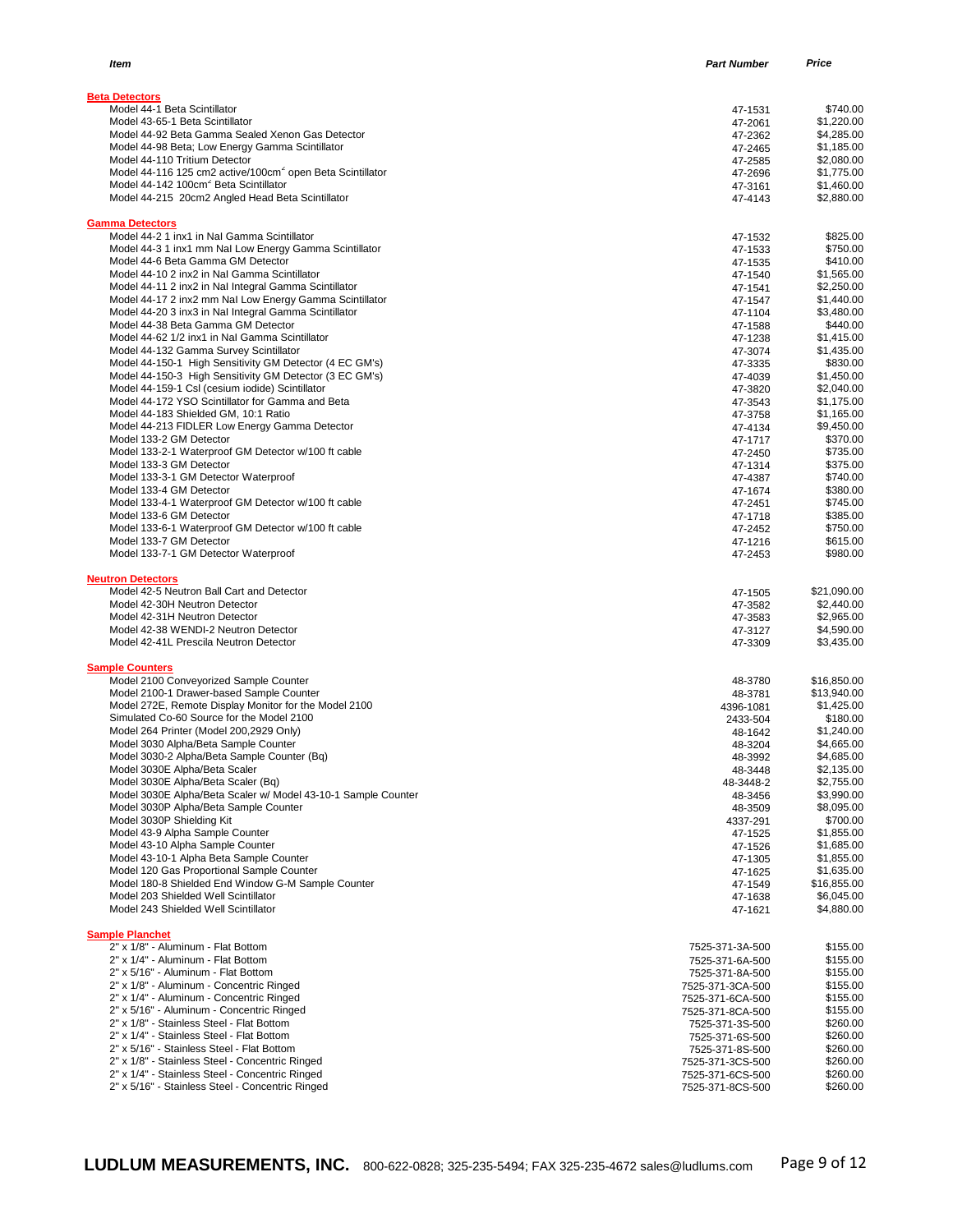| Item                                                                                                             | <b>Part Number</b>                  | Price                    |
|------------------------------------------------------------------------------------------------------------------|-------------------------------------|--------------------------|
|                                                                                                                  |                                     |                          |
| <b>Beta Detectors</b>                                                                                            |                                     |                          |
| Model 44-1 Beta Scintillator                                                                                     | 47-1531                             | \$740.00                 |
| Model 43-65-1 Beta Scintillator                                                                                  | 47-2061                             | \$1,220.00               |
| Model 44-92 Beta Gamma Sealed Xenon Gas Detector<br>Model 44-98 Beta; Low Energy Gamma Scintillator              | 47-2362                             | \$4,285.00               |
| Model 44-110 Tritium Detector                                                                                    | 47-2465<br>47-2585                  | \$1,185.00<br>\$2,080.00 |
| Model 44-116 125 cm2 active/100cm <sup>2</sup> open Beta Scintillator                                            | 47-2696                             | \$1,775.00               |
| Model 44-142 100cm <sup>2</sup> Beta Scintillator                                                                | 47-3161                             | \$1,460.00               |
| Model 44-215 20cm2 Angled Head Beta Scintillator                                                                 | 47-4143                             | \$2,880.00               |
| <b>Gamma Detectors</b>                                                                                           |                                     |                          |
| Model 44-2 1 inx1 in Nal Gamma Scintillator                                                                      | 47-1532                             | \$825.00                 |
| Model 44-3 1 inx1 mm Nal Low Energy Gamma Scintillator                                                           | 47-1533                             | \$750.00                 |
| Model 44-6 Beta Gamma GM Detector                                                                                | 47-1535                             | \$410.00                 |
| Model 44-10 2 inx2 in Nal Gamma Scintillator                                                                     | 47-1540                             | \$1,565.00               |
| Model 44-11 2 inx2 in Nal Integral Gamma Scintillator                                                            | 47-1541                             | \$2,250.00               |
| Model 44-17 2 inx2 mm NaI Low Energy Gamma Scintillator<br>Model 44-20 3 inx3 in Nal Integral Gamma Scintillator | 47-1547<br>47-1104                  | \$1,440.00<br>\$3,480.00 |
| Model 44-38 Beta Gamma GM Detector                                                                               | 47-1588                             | \$440.00                 |
| Model 44-62 1/2 inx1 in Nal Gamma Scintillator                                                                   | 47-1238                             | \$1,415.00               |
| Model 44-132 Gamma Survey Scintillator                                                                           | 47-3074                             | \$1,435.00               |
| Model 44-150-1 High Sensitivity GM Detector (4 EC GM's)                                                          | 47-3335                             | \$830.00                 |
| Model 44-150-3 High Sensitivity GM Detector (3 EC GM's)                                                          | 47-4039                             | \$1,450.00               |
| Model 44-159-1 CsI (cesium iodide) Scintillator                                                                  | 47-3820                             | \$2,040.00               |
| Model 44-172 YSO Scintillator for Gamma and Beta                                                                 | 47-3543                             | \$1,175.00               |
| Model 44-183 Shielded GM, 10:1 Ratio                                                                             | 47-3758                             | \$1,165.00               |
| Model 44-213 FIDLER Low Energy Gamma Detector<br>Model 133-2 GM Detector                                         | 47-4134<br>47-1717                  | \$9,450.00<br>\$370.00   |
| Model 133-2-1 Waterproof GM Detector w/100 ft cable                                                              | 47-2450                             | \$735.00                 |
| Model 133-3 GM Detector                                                                                          | 47-1314                             | \$375.00                 |
| Model 133-3-1 GM Detector Waterproof                                                                             | 47-4387                             | \$740.00                 |
| Model 133-4 GM Detector                                                                                          | 47-1674                             | \$380.00                 |
| Model 133-4-1 Waterproof GM Detector w/100 ft cable                                                              | 47-2451                             | \$745.00                 |
| Model 133-6 GM Detector                                                                                          | 47-1718                             | \$385.00                 |
| Model 133-6-1 Waterproof GM Detector w/100 ft cable<br>Model 133-7 GM Detector                                   | 47-2452                             | \$750.00<br>\$615.00     |
| Model 133-7-1 GM Detector Waterproof                                                                             | 47-1216<br>47-2453                  | \$980.00                 |
|                                                                                                                  |                                     |                          |
| <b>Neutron Detectors</b><br>Model 42-5 Neutron Ball Cart and Detector                                            | 47-1505                             | \$21,090.00              |
| Model 42-30H Neutron Detector                                                                                    | 47-3582                             | \$2,440.00               |
| Model 42-31H Neutron Detector                                                                                    | 47-3583                             | \$2,965.00               |
| Model 42-38 WENDI-2 Neutron Detector                                                                             | 47-3127                             | \$4,590.00               |
| Model 42-41L Prescila Neutron Detector                                                                           | 47-3309                             | \$3,435.00               |
| <b>Sample Counters</b>                                                                                           |                                     |                          |
| Model 2100 Conveyorized Sample Counter                                                                           | 48-3780                             | \$16,850.00              |
| Model 2100-1 Drawer-based Sample Counter                                                                         | 48-3781                             | \$13,940.00              |
| Model 272E, Remote Display Monitor for the Model 2100                                                            | 4396-1081                           | \$1,425.00               |
| Simulated Co-60 Source for the Model 2100                                                                        | 2433-504                            | \$180.00                 |
| Model 264 Printer (Model 200,2929 Only)<br>Model 3030 Alpha/Beta Sample Counter                                  | 48-1642                             | \$1,240.00               |
| Model 3030-2 Alpha/Beta Sample Counter (Bq)                                                                      | 48-3204<br>48-3992                  | \$4,665.00<br>\$4,685.00 |
| Model 3030E Alpha/Beta Scaler                                                                                    | 48-3448                             | \$2,135.00               |
| Model 3030E Alpha/Beta Scaler (Bq)                                                                               | 48-3448-2                           | \$2,755.00               |
| Model 3030E Alpha/Beta Scaler w/ Model 43-10-1 Sample Counter                                                    | 48-3456                             | \$3,990.00               |
| Model 3030P Alpha/Beta Sample Counter                                                                            | 48-3509                             | \$8,095.00               |
| Model 3030P Shielding Kit                                                                                        | 4337-291                            | \$700.00                 |
| Model 43-9 Alpha Sample Counter                                                                                  | 47-1525                             | \$1,855.00               |
| Model 43-10 Alpha Sample Counter                                                                                 | 47-1526                             | \$1,685.00<br>\$1,855.00 |
| Model 43-10-1 Alpha Beta Sample Counter<br>Model 120 Gas Proportional Sample Counter                             | 47-1305<br>47-1625                  | \$1,635.00               |
| Model 180-8 Shielded End Window G-M Sample Counter                                                               | 47-1549                             | \$16,855.00              |
| Model 203 Shielded Well Scintillator                                                                             | 47-1638                             | \$6,045.00               |
| Model 243 Shielded Well Scintillator                                                                             | 47-1621                             | \$4,880.00               |
| <b>Sample Planchet</b>                                                                                           |                                     |                          |
| 2" x 1/8" - Aluminum - Flat Bottom                                                                               | 7525-371-3A-500                     | \$155.00                 |
| 2" x 1/4" - Aluminum - Flat Bottom                                                                               | 7525-371-6A-500                     | \$155.00                 |
| 2" x 5/16" - Aluminum - Flat Bottom                                                                              | 7525-371-8A-500                     | \$155.00                 |
| 2" x 1/8" - Aluminum - Concentric Ringed                                                                         | 7525-371-3CA-500                    | \$155.00                 |
| 2" x 1/4" - Aluminum - Concentric Ringed<br>2" x 5/16" - Aluminum - Concentric Ringed                            | 7525-371-6CA-500                    | \$155.00                 |
| 2" x 1/8" - Stainless Steel - Flat Bottom                                                                        | 7525-371-8CA-500<br>7525-371-3S-500 | \$155.00<br>\$260.00     |
| 2" x 1/4" - Stainless Steel - Flat Bottom                                                                        | 7525-371-6S-500                     | \$260.00                 |
| 2" x 5/16" - Stainless Steel - Flat Bottom                                                                       | 7525-371-8S-500                     | \$260.00                 |
| 2" x 1/8" - Stainless Steel - Concentric Ringed                                                                  | 7525-371-3CS-500                    | \$260.00                 |
| 2" x 1/4" - Stainless Steel - Concentric Ringed                                                                  | 7525-371-6CS-500                    | \$260.00                 |
| 2" x 5/16" - Stainless Steel - Concentric Ringed                                                                 | 7525-371-8CS-500                    | \$260.00                 |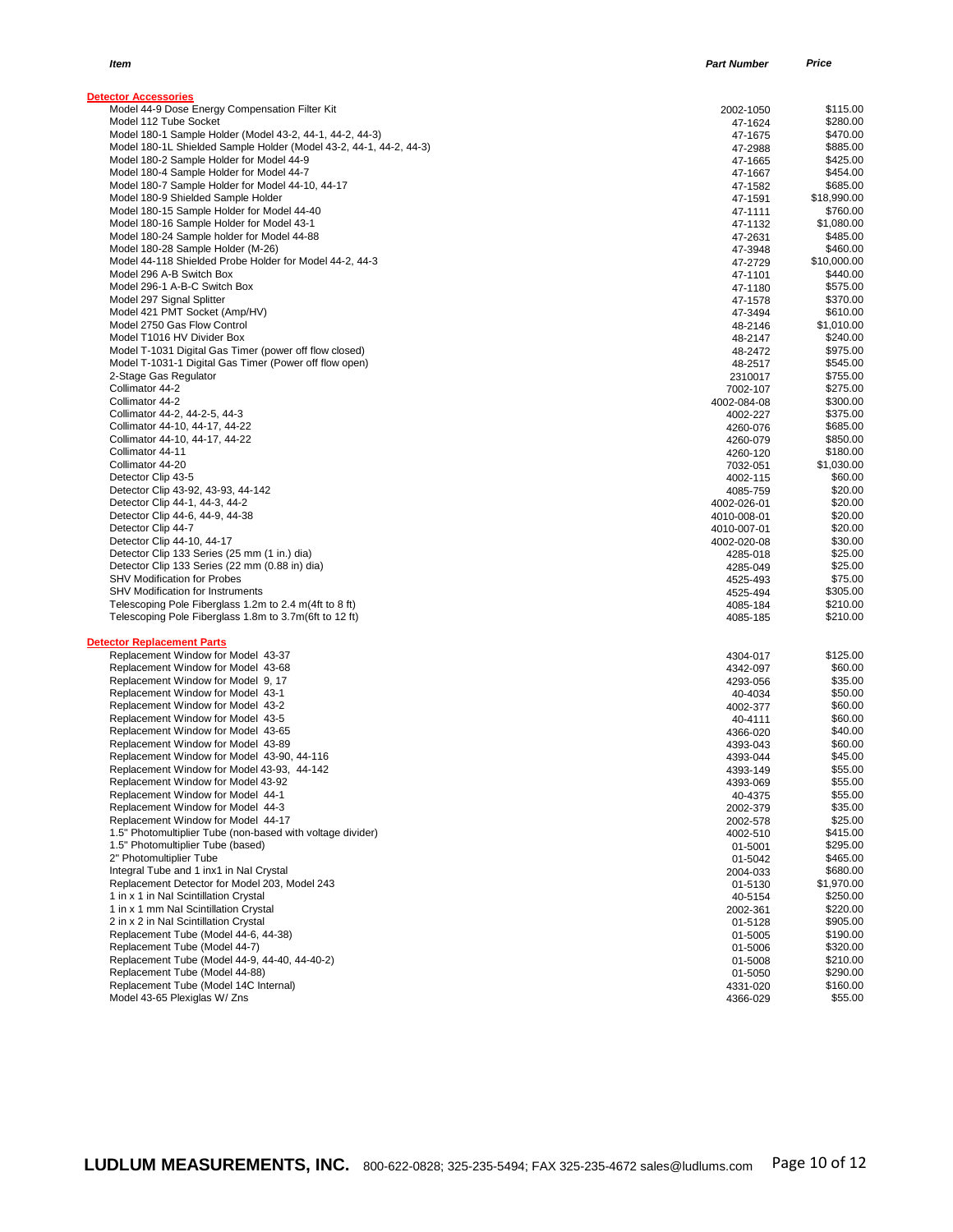| Item                                                                                                                           | <b>Part Number</b>  | Price                |
|--------------------------------------------------------------------------------------------------------------------------------|---------------------|----------------------|
| <b>Detector Accessories</b>                                                                                                    |                     |                      |
| Model 44-9 Dose Energy Compensation Filter Kit                                                                                 | 2002-1050           | \$115.00             |
| Model 112 Tube Socket                                                                                                          | 47-1624             | \$280.00<br>\$470.00 |
| Model 180-1 Sample Holder (Model 43-2, 44-1, 44-2, 44-3)<br>Model 180-1L Shielded Sample Holder (Model 43-2, 44-1, 44-2, 44-3) | 47-1675             |                      |
|                                                                                                                                | 47-2988             | \$885.00             |
| Model 180-2 Sample Holder for Model 44-9<br>Model 180-4 Sample Holder for Model 44-7                                           | 47-1665             | \$425.00<br>\$454.00 |
| Model 180-7 Sample Holder for Model 44-10, 44-17                                                                               | 47-1667<br>47-1582  | \$685.00             |
| Model 180-9 Shielded Sample Holder                                                                                             | 47-1591             | \$18,990.00          |
| Model 180-15 Sample Holder for Model 44-40                                                                                     | 47-1111             | \$760.00             |
| Model 180-16 Sample Holder for Model 43-1                                                                                      | 47-1132             | \$1,080.00           |
| Model 180-24 Sample holder for Model 44-88                                                                                     | 47-2631             | \$485.00             |
| Model 180-28 Sample Holder (M-26)                                                                                              | 47-3948             | \$460.00             |
| Model 44-118 Shielded Probe Holder for Model 44-2, 44-3                                                                        | 47-2729             | \$10,000.00          |
| Model 296 A-B Switch Box                                                                                                       | 47-1101             | \$440.00             |
| Model 296-1 A-B-C Switch Box                                                                                                   | 47-1180             | \$575.00             |
| Model 297 Signal Splitter                                                                                                      | 47-1578             | \$370.00             |
| Model 421 PMT Socket (Amp/HV)                                                                                                  | 47-3494             | \$610.00             |
| Model 2750 Gas Flow Control                                                                                                    | 48-2146             | \$1,010.00           |
| Model T1016 HV Divider Box                                                                                                     | 48-2147             | \$240.00             |
| Model T-1031 Digital Gas Timer (power off flow closed)                                                                         | 48-2472             | \$975.00             |
| Model T-1031-1 Digital Gas Timer (Power off flow open)                                                                         | 48-2517             | \$545.00             |
| 2-Stage Gas Regulator                                                                                                          | 2310017             | \$755.00             |
| Collimator 44-2                                                                                                                | 7002-107            | \$275.00             |
| Collimator 44-2                                                                                                                | 4002-084-08         | \$300.00             |
| Collimator 44-2, 44-2-5, 44-3                                                                                                  | 4002-227            | \$375.00             |
| Collimator 44-10, 44-17, 44-22                                                                                                 | 4260-076            | \$685.00             |
| Collimator 44-10, 44-17, 44-22                                                                                                 | 4260-079            | \$850.00             |
| Collimator 44-11                                                                                                               | 4260-120            | \$180.00             |
| Collimator 44-20                                                                                                               | 7032-051            | \$1,030.00           |
| Detector Clip 43-5                                                                                                             | 4002-115            | \$60.00              |
| Detector Clip 43-92, 43-93, 44-142                                                                                             | 4085-759            | \$20.00              |
| Detector Clip 44-1, 44-3, 44-2                                                                                                 | 4002-026-01         | \$20.00              |
| Detector Clip 44-6, 44-9, 44-38                                                                                                | 4010-008-01         | \$20.00              |
| Detector Clip 44-7                                                                                                             | 4010-007-01         | \$20.00              |
| Detector Clip 44-10, 44-17                                                                                                     | 4002-020-08         | \$30.00              |
| Detector Clip 133 Series (25 mm (1 in.) dia)                                                                                   | 4285-018            | \$25.00              |
| Detector Clip 133 Series (22 mm (0.88 in) dia)                                                                                 | 4285-049            | \$25.00              |
| <b>SHV Modification for Probes</b>                                                                                             | 4525-493            | \$75.00              |
| <b>SHV Modification for Instruments</b>                                                                                        | 4525-494            | \$305.00             |
| Telescoping Pole Fiberglass 1.2m to 2.4 m(4ft to 8 ft)                                                                         | 4085-184            | \$210.00             |
| Telescoping Pole Fiberglass 1.8m to 3.7m (6ft to 12 ft)                                                                        | 4085-185            | \$210.00             |
| <b>Detector Replacement Parts</b><br>Replacement Window for Model 43-37                                                        | 4304-017            | \$125.00             |
| Replacement Window for Model 43-68                                                                                             |                     | \$60.00              |
| Replacement Window for Model 9, 17                                                                                             | 4342-097            | \$35.00              |
|                                                                                                                                | 4293-056            | \$50.00              |
| Replacement Window for Model 43-1<br>Replacement Window for Model 43-2                                                         | 40-4034             | \$60.00              |
| Replacement Window for Model 43-5                                                                                              | 4002-377            | \$60.00              |
| Replacement Window for Model 43-65                                                                                             | 40-4111<br>4366-020 | \$40.00              |
| Replacement Window for Model 43-89                                                                                             | 4393-043            | \$60.00              |
| Replacement Window for Model 43-90, 44-116                                                                                     | 4393-044            | \$45.00              |
| Replacement Window for Model 43-93, 44-142                                                                                     | 4393-149            | \$55.00              |
| Replacement Window for Model 43-92                                                                                             | 4393-069            | \$55.00              |
| Replacement Window for Model 44-1                                                                                              | 40-4375             | \$55.00              |
| Replacement Window for Model 44-3                                                                                              | 2002-379            | \$35.00              |
| Replacement Window for Model 44-17                                                                                             | 2002-578            | \$25.00              |
| 1.5" Photomultiplier Tube (non-based with voltage divider)                                                                     | 4002-510            | \$415.00             |
| 1.5" Photomultiplier Tube (based)                                                                                              | 01-5001             | \$295.00             |
| 2" Photomultiplier Tube                                                                                                        | 01-5042             | \$465.00             |
| Integral Tube and 1 inx1 in Nal Crystal                                                                                        | 2004-033            | \$680.00             |
| Replacement Detector for Model 203, Model 243                                                                                  | 01-5130             | \$1,970.00           |
| 1 in x 1 in Nal Scintillation Crystal                                                                                          | 40-5154             | \$250.00             |
| 1 in x 1 mm Nal Scintillation Crystal                                                                                          | 2002-361            | \$220.00             |
| 2 in x 2 in Nal Scintillation Crystal                                                                                          | 01-5128             | \$905.00             |
| Replacement Tube (Model 44-6, 44-38)                                                                                           | 01-5005             | \$190.00             |
| Replacement Tube (Model 44-7)                                                                                                  | 01-5006             | \$320.00             |
| Replacement Tube (Model 44-9, 44-40, 44-40-2)                                                                                  | 01-5008             | \$210.00             |
| Replacement Tube (Model 44-88)                                                                                                 | 01-5050             | \$290.00             |
| Replacement Tube (Model 14C Internal)                                                                                          | 4331-020            | \$160.00             |
| Model 43-65 Plexiglas W/ Zns                                                                                                   | 4366-029            | \$55.00              |
|                                                                                                                                |                     |                      |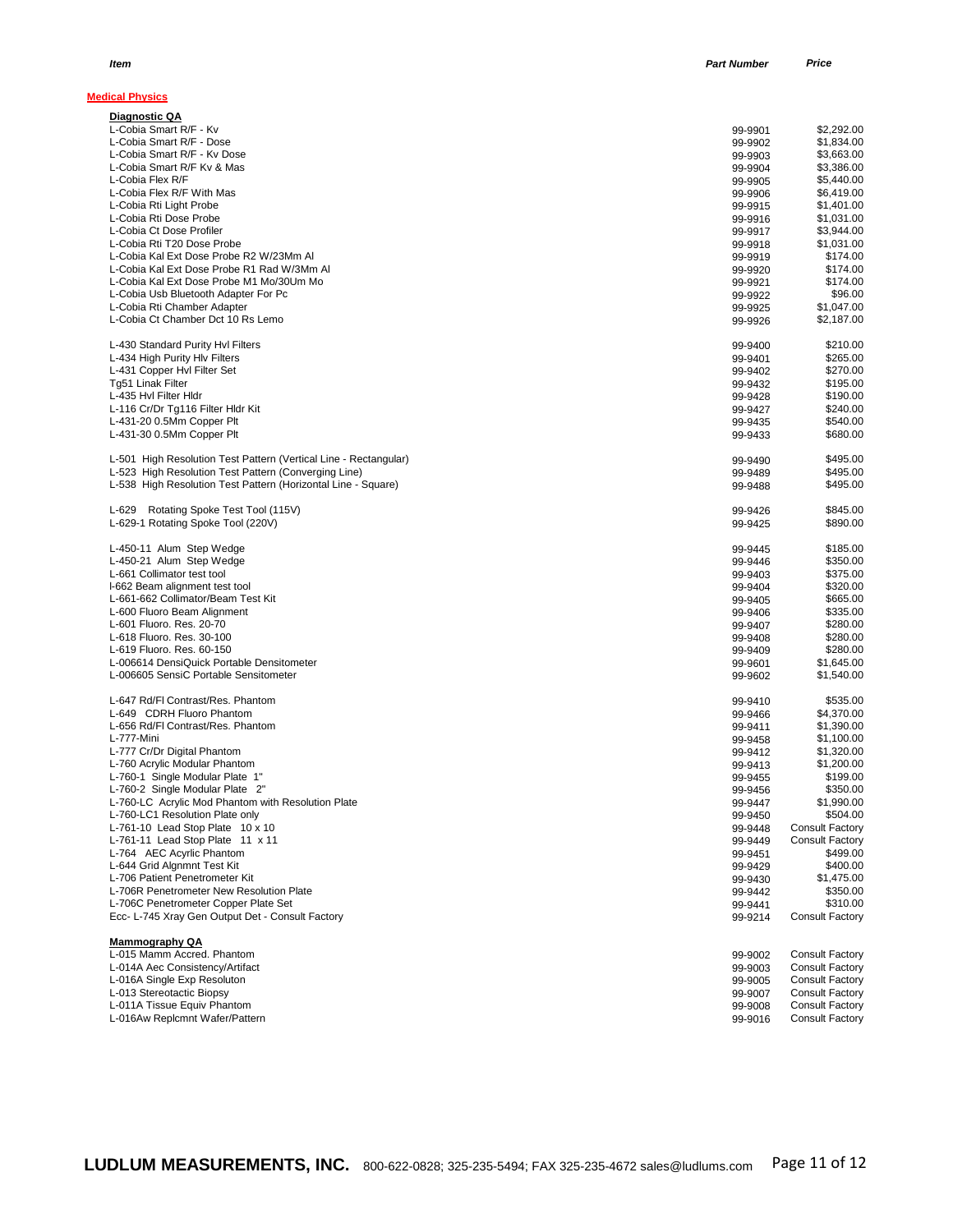| <b>Medical Physics</b>                                                                |                    |                                                  |
|---------------------------------------------------------------------------------------|--------------------|--------------------------------------------------|
| Diagnostic QA                                                                         |                    |                                                  |
| L-Cobia Smart R/F - Kv                                                                | 99-9901            | \$2.292.00                                       |
| L-Cobia Smart R/F - Dose                                                              | 99-9902            | \$1,834.00                                       |
| L-Cobia Smart R/F - Kv Dose                                                           | 99-9903            | \$3,663.00                                       |
| L-Cobia Smart R/F Kv & Mas<br>L-Cobia Flex R/F                                        | 99-9904            | \$3.386.00<br>\$5,440.00                         |
| L-Cobia Flex R/F With Mas                                                             | 99-9905<br>99-9906 | \$6,419.00                                       |
| L-Cobia Rti Light Probe                                                               | 99-9915            | \$1,401.00                                       |
| L-Cobia Rti Dose Probe                                                                | 99-9916            | \$1,031.00                                       |
| L-Cobia Ct Dose Profiler                                                              | 99-9917            | \$3,944.00                                       |
| L-Cobia Rti T20 Dose Probe                                                            | 99-9918            | \$1,031.00                                       |
| L-Cobia Kal Ext Dose Probe R2 W/23Mm Al                                               | 99-9919            | \$174.00                                         |
| L-Cobia Kal Ext Dose Probe R1 Rad W/3Mm Al                                            | 99-9920            | \$174.00                                         |
| L-Cobia Kal Ext Dose Probe M1 Mo/30Um Mo                                              | 99-9921            | \$174.00                                         |
| L-Cobia Usb Bluetooth Adapter For Pc                                                  | 99-9922            | \$96.00                                          |
| L-Cobia Rti Chamber Adapter                                                           | 99-9925            | \$1,047.00                                       |
| L-Cobia Ct Chamber Dct 10 Rs Lemo                                                     | 99-9926            | \$2,187.00                                       |
| L-430 Standard Purity Hvl Filters                                                     | 99-9400            | \$210.00                                         |
| L-434 High Purity Hlv Filters<br>L-431 Copper HvI Filter Set                          | 99-9401            | \$265.00<br>\$270.00                             |
| Tg51 Linak Filter                                                                     | 99-9402<br>99-9432 | \$195.00                                         |
| L-435 Hvl Filter Hldr                                                                 | 99-9428            | \$190.00                                         |
| L-116 Cr/Dr Tg116 Filter Hldr Kit                                                     | 99-9427            | \$240.00                                         |
| L-431-20 0.5Mm Copper Plt                                                             | 99-9435            | \$540.00                                         |
| L-431-30 0.5Mm Copper Plt                                                             | 99-9433            | \$680.00                                         |
| L-501 High Resolution Test Pattern (Vertical Line - Rectangular)                      | 99-9490            | \$495.00                                         |
| L-523 High Resolution Test Pattern (Converging Line)                                  | 99-9489            | \$495.00                                         |
| L-538 High Resolution Test Pattern (Horizontal Line - Square)                         | 99-9488            | \$495.00                                         |
| L-629 Rotating Spoke Test Tool (115V)                                                 | 99-9426            | \$845.00                                         |
| L-629-1 Rotating Spoke Tool (220V)                                                    | 99-9425            | \$890.00                                         |
| L-450-11 Alum Step Wedge                                                              | 99-9445            | \$185.00                                         |
| L-450-21 Alum Step Wedge                                                              | 99-9446            | \$350.00                                         |
| L-661 Collimator test tool                                                            | 99-9403            | \$375.00                                         |
| I-662 Beam alignment test tool<br>L-661-662 Collimator/Beam Test Kit                  | 99-9404            | \$320.00<br>\$665.00                             |
| L-600 Fluoro Beam Alignment                                                           | 99-9405<br>99-9406 | \$335.00                                         |
| L-601 Fluoro. Res. 20-70                                                              | 99-9407            | \$280.00                                         |
| L-618 Fluoro. Res. 30-100                                                             | 99-9408            | \$280.00                                         |
| L-619 Fluoro. Res. 60-150                                                             | 99-9409            | \$280.00                                         |
| L-006614 DensiQuick Portable Densitometer                                             | 99-9601            | \$1,645.00                                       |
| L-006605 SensiC Portable Sensitometer                                                 | 99-9602            | \$1,540.00                                       |
| L-647 Rd/FI Contrast/Res. Phantom                                                     | 99-9410            | \$535.00                                         |
| L-649 CDRH Fluoro Phantom                                                             | 99-9466            | \$4,370.00                                       |
| L-656 Rd/FI Contrast/Res. Phantom                                                     | 99-9411            | \$1,390.00                                       |
| L-777-Mini                                                                            | 99-9458            | \$1,100.00                                       |
| L-777 Cr/Dr Digital Phantom                                                           | 99-9412            | \$1,320.00                                       |
| L-760 Acrylic Modular Phantom                                                         | 99-9413            | \$1,200.00                                       |
| L-760-1 Single Modular Plate 1"                                                       | 99-9455            | \$199.00                                         |
| L-760-2 Single Modular Plate 2"<br>L-760-LC Acrylic Mod Phantom with Resolution Plate | 99-9456            | \$350.00                                         |
| L-760-LC1 Resolution Plate only                                                       | 99-9447<br>99-9450 | \$1,990.00<br>\$504.00                           |
| L-761-10 Lead Stop Plate 10 x 10                                                      | 99-9448            | <b>Consult Factory</b>                           |
| L-761-11 Lead Stop Plate 11 x 11                                                      | 99-9449            | <b>Consult Factory</b>                           |
| L-764 AEC Acyrlic Phantom                                                             | 99-9451            | \$499.00                                         |
| L-644 Grid Algnmnt Test Kit                                                           | 99-9429            | \$400.00                                         |
| L-706 Patient Penetrometer Kit                                                        | 99-9430            | \$1,475.00                                       |
| L-706R Penetrometer New Resolution Plate                                              | 99-9442            | \$350.00                                         |
| L-706C Penetrometer Copper Plate Set                                                  | 99-9441            | \$310.00                                         |
| Ecc- L-745 Xray Gen Output Det - Consult Factory                                      | 99-9214            | <b>Consult Factory</b>                           |
| <b>Mammography QA</b>                                                                 |                    |                                                  |
| L-015 Mamm Accred. Phantom                                                            | 99-9002            | <b>Consult Factory</b>                           |
| L-014A Aec Consistency/Artifact                                                       | 99-9003            | <b>Consult Factory</b>                           |
| L-016A Single Exp Resoluton                                                           | 99-9005            | <b>Consult Factory</b><br><b>Consult Factory</b> |
| L-013 Stereotactic Biopsy<br>L-011A Tissue Equiv Phantom                              | 99-9007<br>99-9008 | <b>Consult Factory</b>                           |
| L-016Aw Replcmnt Wafer/Pattern                                                        | 99-9016            | <b>Consult Factory</b>                           |
|                                                                                       |                    |                                                  |